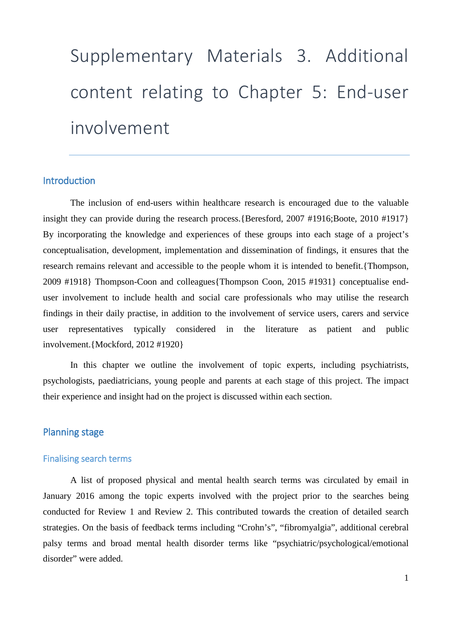# Supplementary Materials 3. Additional content relating to Chapter 5: End-user involvement

## **Introduction**

The inclusion of end-users within healthcare research is encouraged due to the valuable insight they can provide during the research process.{Beresford, 2007 #1916;Boote, 2010 #1917} By incorporating the knowledge and experiences of these groups into each stage of a project's conceptualisation, development, implementation and dissemination of findings, it ensures that the research remains relevant and accessible to the people whom it is intended to benefit.{Thompson, 2009 #1918} Thompson-Coon and colleagues{Thompson Coon, 2015 #1931} conceptualise enduser involvement to include health and social care professionals who may utilise the research findings in their daily practise, in addition to the involvement of service users, carers and service user representatives typically considered in the literature as patient and public involvement.{Mockford, 2012 #1920}

In this chapter we outline the involvement of topic experts, including psychiatrists, psychologists, paediatricians, young people and parents at each stage of this project. The impact their experience and insight had on the project is discussed within each section.

### Planning stage

#### Finalising search terms

A list of proposed physical and mental health search terms was circulated by email in January 2016 among the topic experts involved with the project prior to the searches being conducted for Review 1 and Review 2. This contributed towards the creation of detailed search strategies. On the basis of feedback terms including "Crohn's", "fibromyalgia", additional cerebral palsy terms and broad mental health disorder terms like "psychiatric/psychological/emotional disorder" were added.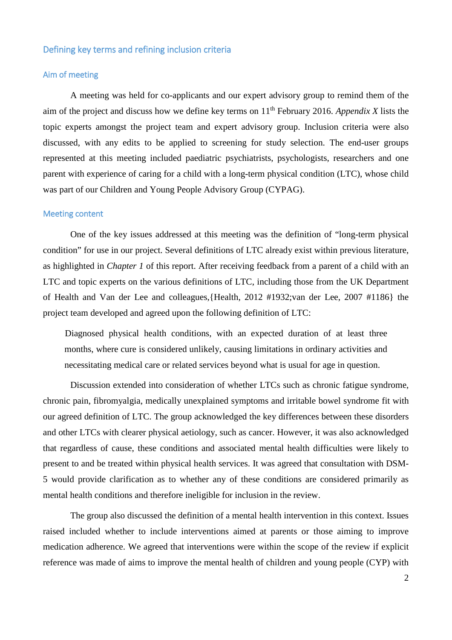#### Defining key terms and refining inclusion criteria

#### Aim of meeting

A meeting was held for co-applicants and our expert advisory group to remind them of the aim of the project and discuss how we define key terms on 11th February 2016. *Appendix X* lists the topic experts amongst the project team and expert advisory group. Inclusion criteria were also discussed, with any edits to be applied to screening for study selection. The end-user groups represented at this meeting included paediatric psychiatrists, psychologists, researchers and one parent with experience of caring for a child with a long-term physical condition (LTC), whose child was part of our Children and Young People Advisory Group (CYPAG).

#### Meeting content

One of the key issues addressed at this meeting was the definition of "long-term physical condition" for use in our project. Several definitions of LTC already exist within previous literature, as highlighted in *Chapter 1* of this report. After receiving feedback from a parent of a child with an LTC and topic experts on the various definitions of LTC, including those from the UK Department of Health and Van der Lee and colleagues,{Health, 2012 #1932;van der Lee, 2007 #1186} the project team developed and agreed upon the following definition of LTC:

Diagnosed physical health conditions, with an expected duration of at least three months, where cure is considered unlikely, causing limitations in ordinary activities and necessitating medical care or related services beyond what is usual for age in question.

Discussion extended into consideration of whether LTCs such as chronic fatigue syndrome, chronic pain, fibromyalgia, medically unexplained symptoms and irritable bowel syndrome fit with our agreed definition of LTC. The group acknowledged the key differences between these disorders and other LTCs with clearer physical aetiology, such as cancer. However, it was also acknowledged that regardless of cause, these conditions and associated mental health difficulties were likely to present to and be treated within physical health services. It was agreed that consultation with DSM-5 would provide clarification as to whether any of these conditions are considered primarily as mental health conditions and therefore ineligible for inclusion in the review.

The group also discussed the definition of a mental health intervention in this context. Issues raised included whether to include interventions aimed at parents or those aiming to improve medication adherence. We agreed that interventions were within the scope of the review if explicit reference was made of aims to improve the mental health of children and young people (CYP) with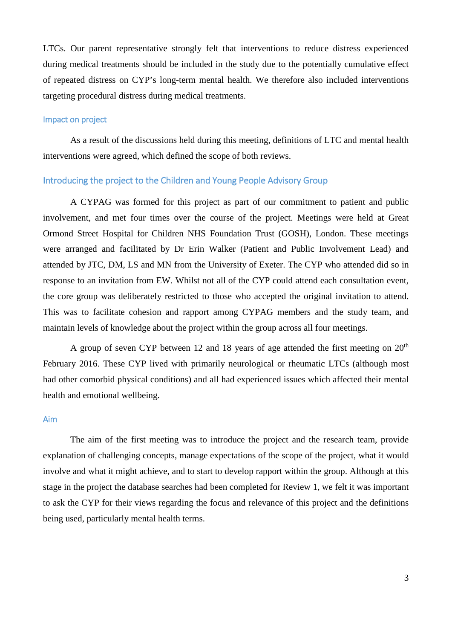LTCs. Our parent representative strongly felt that interventions to reduce distress experienced during medical treatments should be included in the study due to the potentially cumulative effect of repeated distress on CYP's long-term mental health. We therefore also included interventions targeting procedural distress during medical treatments.

#### Impact on project

As a result of the discussions held during this meeting, definitions of LTC and mental health interventions were agreed, which defined the scope of both reviews.

#### Introducing the project to the Children and Young People Advisory Group

A CYPAG was formed for this project as part of our commitment to patient and public involvement, and met four times over the course of the project. Meetings were held at Great Ormond Street Hospital for Children NHS Foundation Trust (GOSH), London. These meetings were arranged and facilitated by Dr Erin Walker (Patient and Public Involvement Lead) and attended by JTC, DM, LS and MN from the University of Exeter. The CYP who attended did so in response to an invitation from EW. Whilst not all of the CYP could attend each consultation event, the core group was deliberately restricted to those who accepted the original invitation to attend. This was to facilitate cohesion and rapport among CYPAG members and the study team, and maintain levels of knowledge about the project within the group across all four meetings.

A group of seven CYP between 12 and 18 years of age attended the first meeting on  $20<sup>th</sup>$ February 2016. These CYP lived with primarily neurological or rheumatic LTCs (although most had other comorbid physical conditions) and all had experienced issues which affected their mental health and emotional wellbeing.

#### Aim

The aim of the first meeting was to introduce the project and the research team, provide explanation of challenging concepts, manage expectations of the scope of the project, what it would involve and what it might achieve, and to start to develop rapport within the group. Although at this stage in the project the database searches had been completed for Review 1, we felt it was important to ask the CYP for their views regarding the focus and relevance of this project and the definitions being used, particularly mental health terms.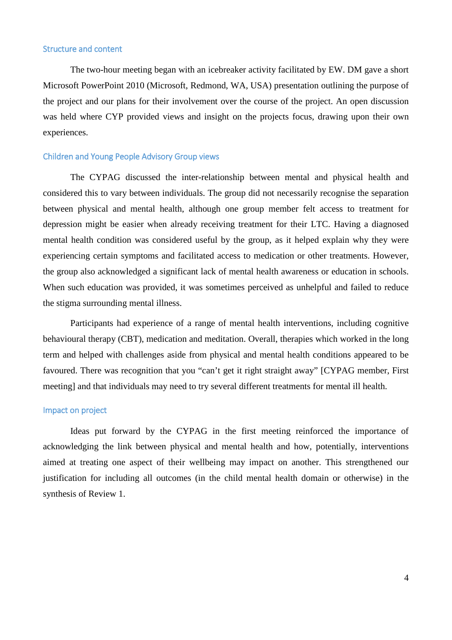#### Structure and content

The two-hour meeting began with an icebreaker activity facilitated by EW. DM gave a short Microsoft PowerPoint 2010 (Microsoft, Redmond, WA, USA) presentation outlining the purpose of the project and our plans for their involvement over the course of the project. An open discussion was held where CYP provided views and insight on the projects focus, drawing upon their own experiences.

#### Children and Young People Advisory Group views

The CYPAG discussed the inter-relationship between mental and physical health and considered this to vary between individuals. The group did not necessarily recognise the separation between physical and mental health, although one group member felt access to treatment for depression might be easier when already receiving treatment for their LTC. Having a diagnosed mental health condition was considered useful by the group, as it helped explain why they were experiencing certain symptoms and facilitated access to medication or other treatments. However, the group also acknowledged a significant lack of mental health awareness or education in schools. When such education was provided, it was sometimes perceived as unhelpful and failed to reduce the stigma surrounding mental illness.

Participants had experience of a range of mental health interventions, including cognitive behavioural therapy (CBT), medication and meditation. Overall, therapies which worked in the long term and helped with challenges aside from physical and mental health conditions appeared to be favoured. There was recognition that you "can't get it right straight away" [CYPAG member, First meeting] and that individuals may need to try several different treatments for mental ill health.

#### Impact on project

Ideas put forward by the CYPAG in the first meeting reinforced the importance of acknowledging the link between physical and mental health and how, potentially, interventions aimed at treating one aspect of their wellbeing may impact on another. This strengthened our justification for including all outcomes (in the child mental health domain or otherwise) in the synthesis of Review 1.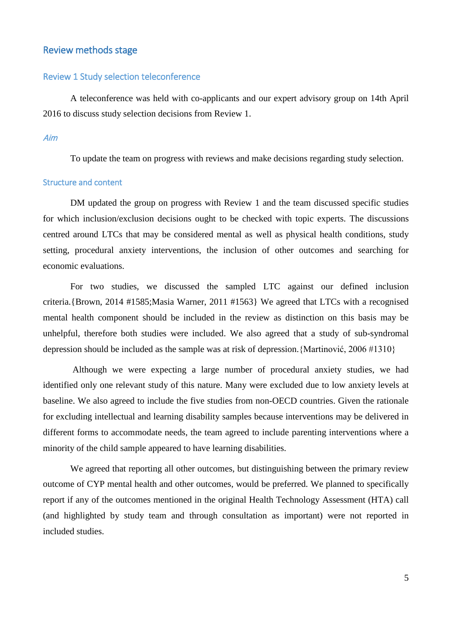#### Review methods stage

#### Review 1 Study selection teleconference

A teleconference was held with co-applicants and our expert advisory group on 14th April 2016 to discuss study selection decisions from Review 1.

#### Aim

To update the team on progress with reviews and make decisions regarding study selection.

#### Structure and content

DM updated the group on progress with Review 1 and the team discussed specific studies for which inclusion/exclusion decisions ought to be checked with topic experts. The discussions centred around LTCs that may be considered mental as well as physical health conditions, study setting, procedural anxiety interventions, the inclusion of other outcomes and searching for economic evaluations.

For two studies, we discussed the sampled LTC against our defined inclusion criteria.{Brown, 2014 #1585;Masia Warner, 2011 #1563} We agreed that LTCs with a recognised mental health component should be included in the review as distinction on this basis may be unhelpful, therefore both studies were included. We also agreed that a study of sub-syndromal depression should be included as the sample was at risk of depression.{Martinović, 2006 #1310}

Although we were expecting a large number of procedural anxiety studies, we had identified only one relevant study of this nature. Many were excluded due to low anxiety levels at baseline. We also agreed to include the five studies from non-OECD countries. Given the rationale for excluding intellectual and learning disability samples because interventions may be delivered in different forms to accommodate needs, the team agreed to include parenting interventions where a minority of the child sample appeared to have learning disabilities.

We agreed that reporting all other outcomes, but distinguishing between the primary review outcome of CYP mental health and other outcomes, would be preferred. We planned to specifically report if any of the outcomes mentioned in the original Health Technology Assessment (HTA) call (and highlighted by study team and through consultation as important) were not reported in included studies.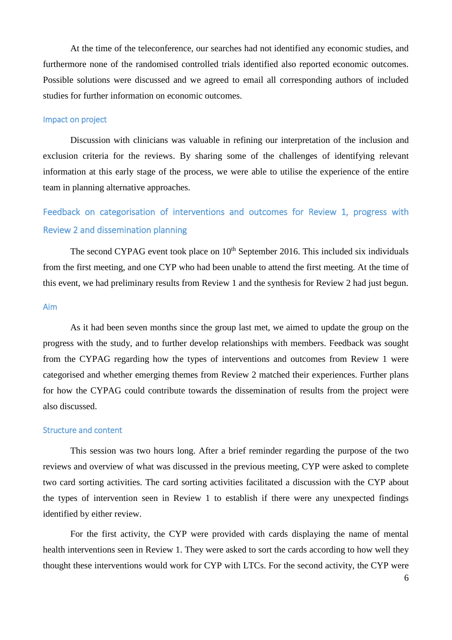At the time of the teleconference, our searches had not identified any economic studies, and furthermore none of the randomised controlled trials identified also reported economic outcomes. Possible solutions were discussed and we agreed to email all corresponding authors of included studies for further information on economic outcomes.

#### Impact on project

Discussion with clinicians was valuable in refining our interpretation of the inclusion and exclusion criteria for the reviews. By sharing some of the challenges of identifying relevant information at this early stage of the process, we were able to utilise the experience of the entire team in planning alternative approaches.

# Feedback on categorisation of interventions and outcomes for Review 1, progress with Review 2 and dissemination planning

The second CYPAG event took place on  $10<sup>th</sup>$  September 2016. This included six individuals from the first meeting, and one CYP who had been unable to attend the first meeting. At the time of this event, we had preliminary results from Review 1 and the synthesis for Review 2 had just begun.

#### Aim

As it had been seven months since the group last met, we aimed to update the group on the progress with the study, and to further develop relationships with members. Feedback was sought from the CYPAG regarding how the types of interventions and outcomes from Review 1 were categorised and whether emerging themes from Review 2 matched their experiences. Further plans for how the CYPAG could contribute towards the dissemination of results from the project were also discussed.

#### Structure and content

This session was two hours long. After a brief reminder regarding the purpose of the two reviews and overview of what was discussed in the previous meeting, CYP were asked to complete two card sorting activities. The card sorting activities facilitated a discussion with the CYP about the types of intervention seen in Review 1 to establish if there were any unexpected findings identified by either review.

For the first activity, the CYP were provided with cards displaying the name of mental health interventions seen in Review 1. They were asked to sort the cards according to how well they thought these interventions would work for CYP with LTCs. For the second activity, the CYP were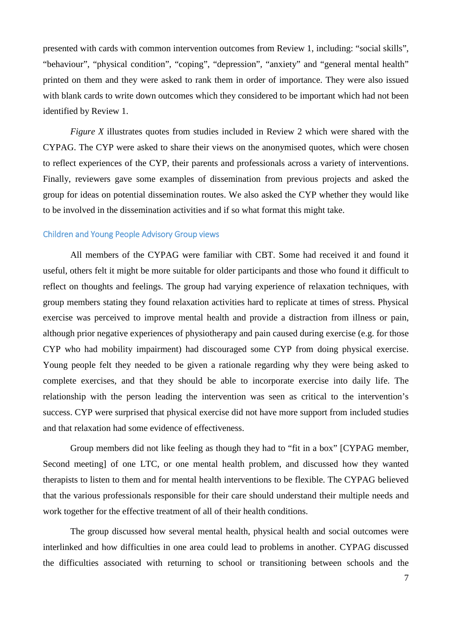presented with cards with common intervention outcomes from Review 1, including: "social skills", "behaviour", "physical condition", "coping", "depression", "anxiety" and "general mental health" printed on them and they were asked to rank them in order of importance. They were also issued with blank cards to write down outcomes which they considered to be important which had not been identified by Review 1.

*Figure X* illustrates quotes from studies included in Review 2 which were shared with the CYPAG. The CYP were asked to share their views on the anonymised quotes, which were chosen to reflect experiences of the CYP, their parents and professionals across a variety of interventions. Finally, reviewers gave some examples of dissemination from previous projects and asked the group for ideas on potential dissemination routes. We also asked the CYP whether they would like to be involved in the dissemination activities and if so what format this might take.

#### Children and Young People Advisory Group views

All members of the CYPAG were familiar with CBT. Some had received it and found it useful, others felt it might be more suitable for older participants and those who found it difficult to reflect on thoughts and feelings. The group had varying experience of relaxation techniques, with group members stating they found relaxation activities hard to replicate at times of stress. Physical exercise was perceived to improve mental health and provide a distraction from illness or pain, although prior negative experiences of physiotherapy and pain caused during exercise (e.g. for those CYP who had mobility impairment) had discouraged some CYP from doing physical exercise. Young people felt they needed to be given a rationale regarding why they were being asked to complete exercises, and that they should be able to incorporate exercise into daily life. The relationship with the person leading the intervention was seen as critical to the intervention's success. CYP were surprised that physical exercise did not have more support from included studies and that relaxation had some evidence of effectiveness.

Group members did not like feeling as though they had to "fit in a box" [CYPAG member, Second meeting] of one LTC, or one mental health problem, and discussed how they wanted therapists to listen to them and for mental health interventions to be flexible. The CYPAG believed that the various professionals responsible for their care should understand their multiple needs and work together for the effective treatment of all of their health conditions.

The group discussed how several mental health, physical health and social outcomes were interlinked and how difficulties in one area could lead to problems in another. CYPAG discussed the difficulties associated with returning to school or transitioning between schools and the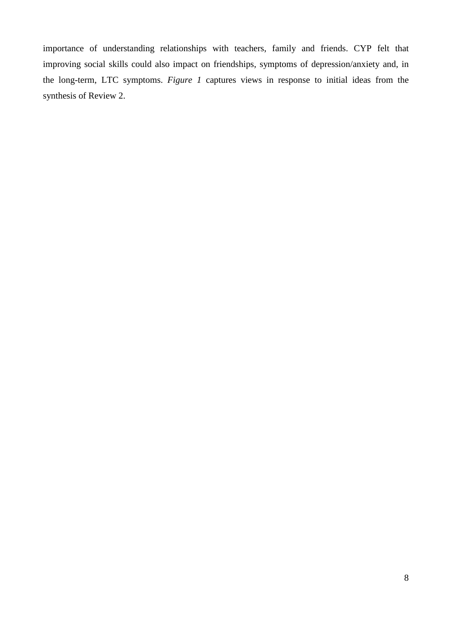importance of understanding relationships with teachers, family and friends. CYP felt that improving social skills could also impact on friendships, symptoms of depression/anxiety and, in the long-term, LTC symptoms. *[Figure 1](#page-8-0)* captures views in response to initial ideas from the synthesis of Review 2.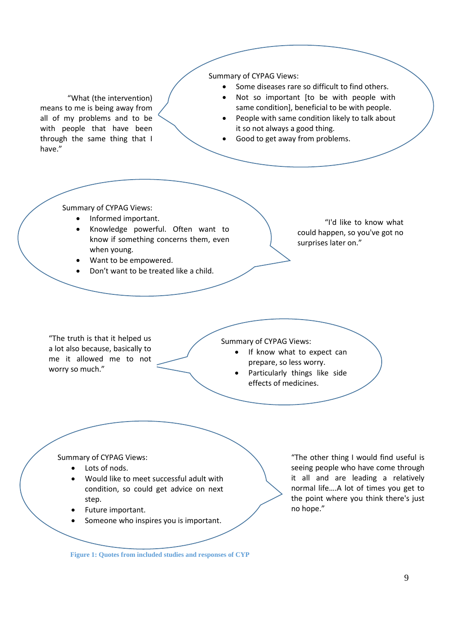**Figure 1: Quotes from included studies and responses of CYP** "What (the intervention) means to me is being away from all of my problems and to be with people that have been through the same thing that I have." Summary of CYPAG Views: • Some diseases rare so difficult to find others. Not so important [to be with people with same condition], beneficial to be with people. People with same condition likely to talk about it so not always a good thing. • Good to get away from problems. Summary of CYPAG Views: • Informed important. • Knowledge powerful. Often want to know if something concerns them, even when young. • Want to be empowered. • Don't want to be treated like a child. "I'd like to know what could happen, so you've got no surprises later on." "The truth is that it helped us a lot also because, basically to me it allowed me to not worry so much." Summary of CYPAG Views: If know what to expect can prepare, so less worry. Particularly things like side effects of medicines. "The other thing I would find useful is seeing people who have come through it all and are leading a relatively normal life….A lot of times you get to the point where you think there's just no hope." Summary of CYPAG Views: Lots of nods. • Would like to meet successful adult with condition, so could get advice on next step. Future important. Someone who inspires you is important.

<span id="page-8-0"></span>9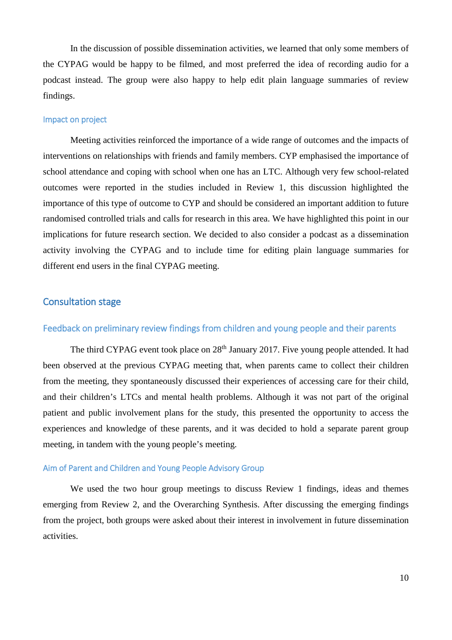In the discussion of possible dissemination activities, we learned that only some members of the CYPAG would be happy to be filmed, and most preferred the idea of recording audio for a podcast instead. The group were also happy to help edit plain language summaries of review findings.

#### Impact on project

Meeting activities reinforced the importance of a wide range of outcomes and the impacts of interventions on relationships with friends and family members. CYP emphasised the importance of school attendance and coping with school when one has an LTC. Although very few school-related outcomes were reported in the studies included in Review 1, this discussion highlighted the importance of this type of outcome to CYP and should be considered an important addition to future randomised controlled trials and calls for research in this area. We have highlighted this point in our implications for future research section. We decided to also consider a podcast as a dissemination activity involving the CYPAG and to include time for editing plain language summaries for different end users in the final CYPAG meeting.

#### Consultation stage

#### Feedback on preliminary review findings from children and young people and their parents

The third CYPAG event took place on 28<sup>th</sup> January 2017. Five young people attended. It had been observed at the previous CYPAG meeting that, when parents came to collect their children from the meeting, they spontaneously discussed their experiences of accessing care for their child, and their children's LTCs and mental health problems. Although it was not part of the original patient and public involvement plans for the study, this presented the opportunity to access the experiences and knowledge of these parents, and it was decided to hold a separate parent group meeting, in tandem with the young people's meeting.

#### Aim of Parent and Children and Young People Advisory Group

We used the two hour group meetings to discuss Review 1 findings, ideas and themes emerging from Review 2, and the Overarching Synthesis. After discussing the emerging findings from the project, both groups were asked about their interest in involvement in future dissemination activities.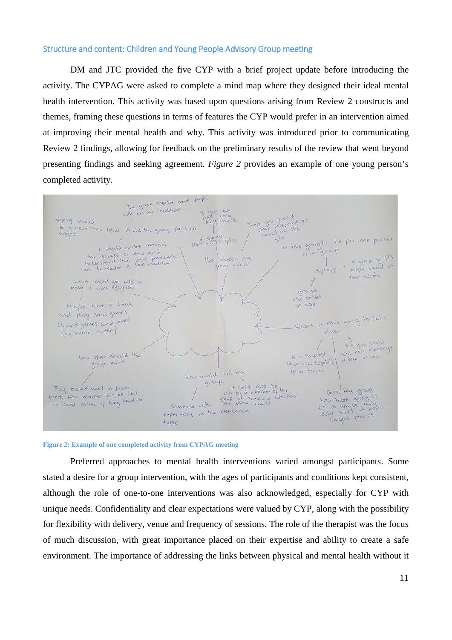#### Structure and content: Children and Young People Advisory Group meeting

DM and JTC provided the five CYP with a brief project update before introducing the activity. The CYPAG were asked to complete a mind map where they designed their ideal mental health intervention. This activity was based upon questions arising from Review 2 constructs and themes, framing these questions in terms of features the CYP would prefer in an intervention aimed at improving their mental health and why. This activity was introduced prior to communicating Review 2 findings, allowing for feedback on the preliminary results of the review that went beyond presenting findings and seeking agreement. *[Figure 2](#page-10-0)* provides an example of one young person's completed activity.



<span id="page-10-0"></span>

Preferred approaches to mental health interventions varied amongst participants. Some stated a desire for a group intervention, with the ages of participants and conditions kept consistent, although the role of one-to-one interventions was also acknowledged, especially for CYP with unique needs. Confidentiality and clear expectations were valued by CYP, along with the possibility for flexibility with delivery, venue and frequency of sessions. The role of the therapist was the focus of much discussion, with great importance placed on their expertise and ability to create a safe environment. The importance of addressing the links between physical and mental health without it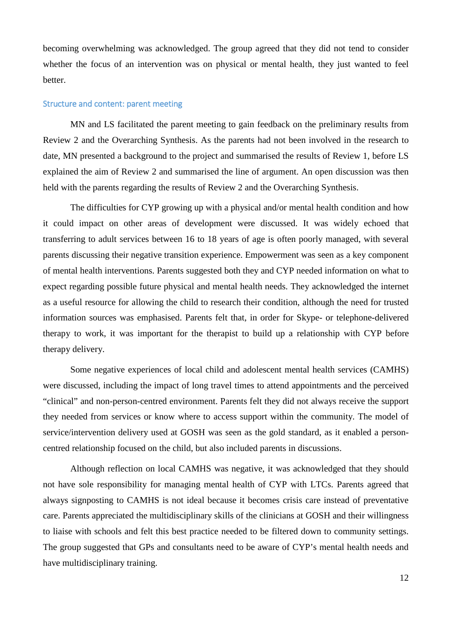becoming overwhelming was acknowledged. The group agreed that they did not tend to consider whether the focus of an intervention was on physical or mental health, they just wanted to feel better.

#### Structure and content: parent meeting

MN and LS facilitated the parent meeting to gain feedback on the preliminary results from Review 2 and the Overarching Synthesis. As the parents had not been involved in the research to date, MN presented a background to the project and summarised the results of Review 1, before LS explained the aim of Review 2 and summarised the line of argument. An open discussion was then held with the parents regarding the results of Review 2 and the Overarching Synthesis.

The difficulties for CYP growing up with a physical and/or mental health condition and how it could impact on other areas of development were discussed. It was widely echoed that transferring to adult services between 16 to 18 years of age is often poorly managed, with several parents discussing their negative transition experience. Empowerment was seen as a key component of mental health interventions. Parents suggested both they and CYP needed information on what to expect regarding possible future physical and mental health needs. They acknowledged the internet as a useful resource for allowing the child to research their condition, although the need for trusted information sources was emphasised. Parents felt that, in order for Skype- or telephone-delivered therapy to work, it was important for the therapist to build up a relationship with CYP before therapy delivery.

Some negative experiences of local child and adolescent mental health services (CAMHS) were discussed, including the impact of long travel times to attend appointments and the perceived "clinical" and non-person-centred environment. Parents felt they did not always receive the support they needed from services or know where to access support within the community. The model of service/intervention delivery used at GOSH was seen as the gold standard, as it enabled a personcentred relationship focused on the child, but also included parents in discussions.

Although reflection on local CAMHS was negative, it was acknowledged that they should not have sole responsibility for managing mental health of CYP with LTCs. Parents agreed that always signposting to CAMHS is not ideal because it becomes crisis care instead of preventative care. Parents appreciated the multidisciplinary skills of the clinicians at GOSH and their willingness to liaise with schools and felt this best practice needed to be filtered down to community settings. The group suggested that GPs and consultants need to be aware of CYP's mental health needs and have multidisciplinary training.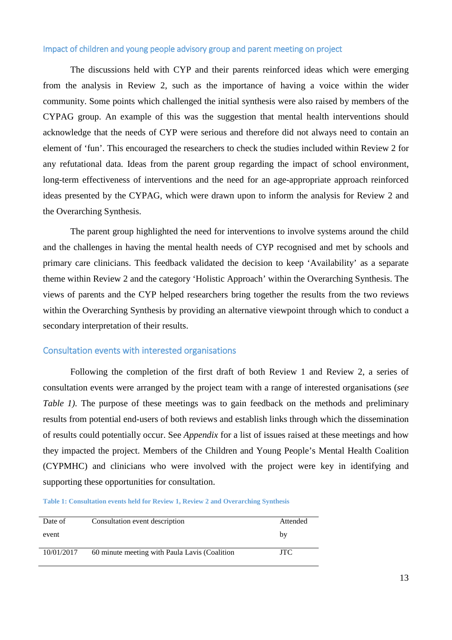#### Impact of children and young people advisory group and parent meeting on project

The discussions held with CYP and their parents reinforced ideas which were emerging from the analysis in Review 2, such as the importance of having a voice within the wider community. Some points which challenged the initial synthesis were also raised by members of the CYPAG group. An example of this was the suggestion that mental health interventions should acknowledge that the needs of CYP were serious and therefore did not always need to contain an element of 'fun'. This encouraged the researchers to check the studies included within Review 2 for any refutational data. Ideas from the parent group regarding the impact of school environment, long-term effectiveness of interventions and the need for an age-appropriate approach reinforced ideas presented by the CYPAG, which were drawn upon to inform the analysis for Review 2 and the Overarching Synthesis.

The parent group highlighted the need for interventions to involve systems around the child and the challenges in having the mental health needs of CYP recognised and met by schools and primary care clinicians. This feedback validated the decision to keep 'Availability' as a separate theme within Review 2 and the category 'Holistic Approach' within the Overarching Synthesis. The views of parents and the CYP helped researchers bring together the results from the two reviews within the Overarching Synthesis by providing an alternative viewpoint through which to conduct a secondary interpretation of their results.

#### Consultation events with interested organisations

Following the completion of the first draft of both Review 1 and Review 2, a series of consultation events were arranged by the project team with a range of interested organisations (*see Table 1*). The purpose of these meetings was to gain feedback on the methods and preliminary results from potential end-users of both reviews and establish links through which the dissemination of results could potentially occur. See *Appendix* for a list of issues raised at these meetings and how they impacted the project. Members of the Children and Young People's Mental Health Coalition (CYPMHC) and clinicians who were involved with the project were key in identifying and supporting these opportunities for consultation.

<span id="page-12-0"></span>**Table 1: Consultation events held for Review 1, Review 2 and Overarching Synthesis**

| Date of    | Consultation event description                | Attended |
|------------|-----------------------------------------------|----------|
| event      |                                               | by       |
| 10/01/2017 | 60 minute meeting with Paula Lavis (Coalition | JTC.     |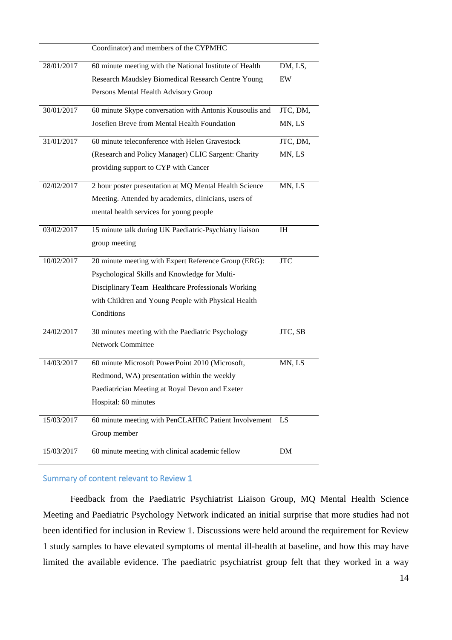|            | Coordinator) and members of the CYPMHC                  |            |
|------------|---------------------------------------------------------|------------|
| 28/01/2017 | 60 minute meeting with the National Institute of Health | DM, LS,    |
|            | Research Maudsley Biomedical Research Centre Young      | EW         |
|            | Persons Mental Health Advisory Group                    |            |
| 30/01/2017 | 60 minute Skype conversation with Antonis Kousoulis and | JTC, DM,   |
|            | Josefien Breve from Mental Health Foundation            | MN, LS     |
| 31/01/2017 | 60 minute teleconference with Helen Gravestock          | JTC, DM,   |
|            | (Research and Policy Manager) CLIC Sargent: Charity     | MN, LS     |
|            | providing support to CYP with Cancer                    |            |
| 02/02/2017 | 2 hour poster presentation at MQ Mental Health Science  | MN, LS     |
|            | Meeting. Attended by academics, clinicians, users of    |            |
|            | mental health services for young people                 |            |
| 03/02/2017 | 15 minute talk during UK Paediatric-Psychiatry liaison  | IH         |
|            | group meeting                                           |            |
| 10/02/2017 | 20 minute meeting with Expert Reference Group (ERG):    | <b>JTC</b> |
|            | Psychological Skills and Knowledge for Multi-           |            |
|            | Disciplinary Team Healthcare Professionals Working      |            |
|            | with Children and Young People with Physical Health     |            |
|            | Conditions                                              |            |
| 24/02/2017 | 30 minutes meeting with the Paediatric Psychology       | JTC, SB    |
|            | <b>Network Committee</b>                                |            |
| 14/03/2017 | 60 minute Microsoft PowerPoint 2010 (Microsoft,         | MN, LS     |
|            | Redmond, WA) presentation within the weekly             |            |
|            | Paediatrician Meeting at Royal Devon and Exeter         |            |
|            | Hospital: 60 minutes                                    |            |
| 15/03/2017 | 60 minute meeting with PenCLAHRC Patient Involvement    | LS         |
|            | Group member                                            |            |
| 15/03/2017 | 60 minute meeting with clinical academic fellow         | DM         |

#### Summary of content relevant to Review 1

Feedback from the Paediatric Psychiatrist Liaison Group, MQ Mental Health Science Meeting and Paediatric Psychology Network indicated an initial surprise that more studies had not been identified for inclusion in Review 1. Discussions were held around the requirement for Review 1 study samples to have elevated symptoms of mental ill-health at baseline, and how this may have limited the available evidence. The paediatric psychiatrist group felt that they worked in a way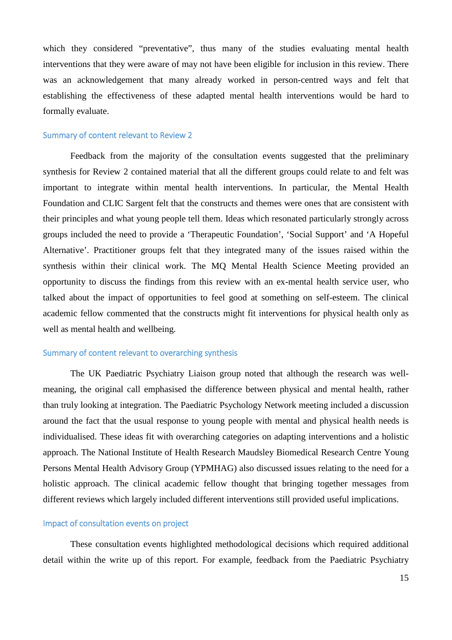which they considered "preventative", thus many of the studies evaluating mental health interventions that they were aware of may not have been eligible for inclusion in this review. There was an acknowledgement that many already worked in person-centred ways and felt that establishing the effectiveness of these adapted mental health interventions would be hard to formally evaluate.

#### Summary of content relevant to Review 2

Feedback from the majority of the consultation events suggested that the preliminary synthesis for Review 2 contained material that all the different groups could relate to and felt was important to integrate within mental health interventions. In particular, the Mental Health Foundation and CLIC Sargent felt that the constructs and themes were ones that are consistent with their principles and what young people tell them. Ideas which resonated particularly strongly across groups included the need to provide a 'Therapeutic Foundation', 'Social Support' and 'A Hopeful Alternative'. Practitioner groups felt that they integrated many of the issues raised within the synthesis within their clinical work. The MQ Mental Health Science Meeting provided an opportunity to discuss the findings from this review with an ex-mental health service user, who talked about the impact of opportunities to feel good at something on self-esteem. The clinical academic fellow commented that the constructs might fit interventions for physical health only as well as mental health and wellbeing.

#### Summary of content relevant to overarching synthesis

The UK Paediatric Psychiatry Liaison group noted that although the research was wellmeaning, the original call emphasised the difference between physical and mental health, rather than truly looking at integration. The Paediatric Psychology Network meeting included a discussion around the fact that the usual response to young people with mental and physical health needs is individualised. These ideas fit with overarching categories on adapting interventions and a holistic approach. The National Institute of Health Research Maudsley Biomedical Research Centre Young Persons Mental Health Advisory Group (YPMHAG) also discussed issues relating to the need for a holistic approach. The clinical academic fellow thought that bringing together messages from different reviews which largely included different interventions still provided useful implications.

#### Impact of consultation events on project

These consultation events highlighted methodological decisions which required additional detail within the write up of this report. For example, feedback from the Paediatric Psychiatry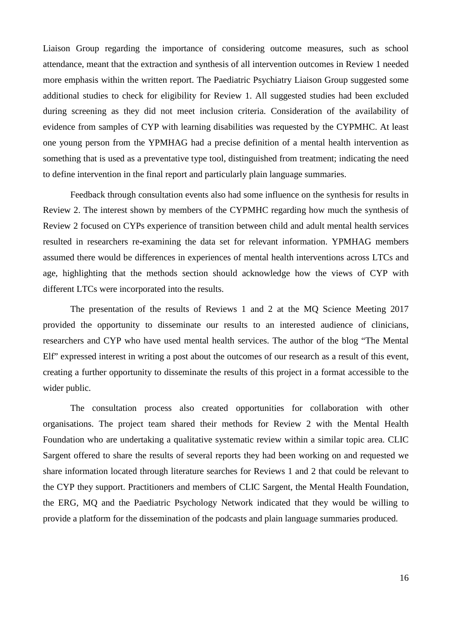Liaison Group regarding the importance of considering outcome measures, such as school attendance, meant that the extraction and synthesis of all intervention outcomes in Review 1 needed more emphasis within the written report. The Paediatric Psychiatry Liaison Group suggested some additional studies to check for eligibility for Review 1. All suggested studies had been excluded during screening as they did not meet inclusion criteria. Consideration of the availability of evidence from samples of CYP with learning disabilities was requested by the CYPMHC. At least one young person from the YPMHAG had a precise definition of a mental health intervention as something that is used as a preventative type tool, distinguished from treatment; indicating the need to define intervention in the final report and particularly plain language summaries.

Feedback through consultation events also had some influence on the synthesis for results in Review 2. The interest shown by members of the CYPMHC regarding how much the synthesis of Review 2 focused on CYPs experience of transition between child and adult mental health services resulted in researchers re-examining the data set for relevant information. YPMHAG members assumed there would be differences in experiences of mental health interventions across LTCs and age, highlighting that the methods section should acknowledge how the views of CYP with different LTCs were incorporated into the results.

The presentation of the results of Reviews 1 and 2 at the MQ Science Meeting 2017 provided the opportunity to disseminate our results to an interested audience of clinicians, researchers and CYP who have used mental health services. The author of the blog "The Mental Elf" expressed interest in writing a post about the outcomes of our research as a result of this event, creating a further opportunity to disseminate the results of this project in a format accessible to the wider public.

The consultation process also created opportunities for collaboration with other organisations. The project team shared their methods for Review 2 with the Mental Health Foundation who are undertaking a qualitative systematic review within a similar topic area. CLIC Sargent offered to share the results of several reports they had been working on and requested we share information located through literature searches for Reviews 1 and 2 that could be relevant to the CYP they support. Practitioners and members of CLIC Sargent, the Mental Health Foundation, the ERG, MQ and the Paediatric Psychology Network indicated that they would be willing to provide a platform for the dissemination of the podcasts and plain language summaries produced.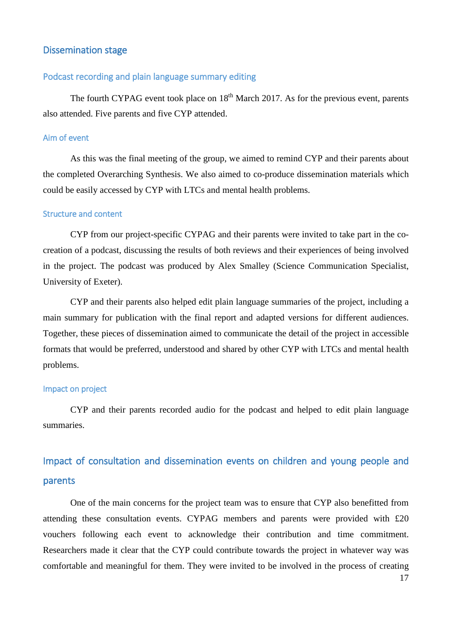#### Dissemination stage

#### Podcast recording and plain language summary editing

The fourth CYPAG event took place on  $18<sup>th</sup>$  March 2017. As for the previous event, parents also attended. Five parents and five CYP attended.

#### Aim of event

As this was the final meeting of the group, we aimed to remind CYP and their parents about the completed Overarching Synthesis. We also aimed to co-produce dissemination materials which could be easily accessed by CYP with LTCs and mental health problems.

#### Structure and content

CYP from our project-specific CYPAG and their parents were invited to take part in the cocreation of a podcast, discussing the results of both reviews and their experiences of being involved in the project. The podcast was produced by Alex Smalley (Science Communication Specialist, University of Exeter).

CYP and their parents also helped edit plain language summaries of the project, including a main summary for publication with the final report and adapted versions for different audiences. Together, these pieces of dissemination aimed to communicate the detail of the project in accessible formats that would be preferred, understood and shared by other CYP with LTCs and mental health problems.

#### Impact on project

CYP and their parents recorded audio for the podcast and helped to edit plain language summaries.

# Impact of consultation and dissemination events on children and young people and parents

One of the main concerns for the project team was to ensure that CYP also benefitted from attending these consultation events. CYPAG members and parents were provided with £20 vouchers following each event to acknowledge their contribution and time commitment. Researchers made it clear that the CYP could contribute towards the project in whatever way was comfortable and meaningful for them. They were invited to be involved in the process of creating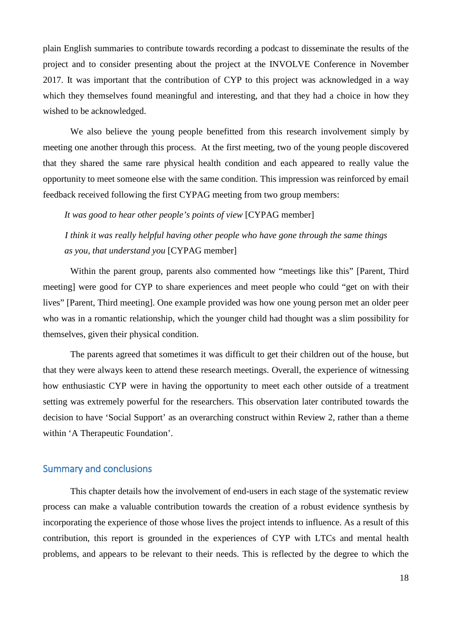plain English summaries to contribute towards recording a podcast to disseminate the results of the project and to consider presenting about the project at the INVOLVE Conference in November 2017. It was important that the contribution of CYP to this project was acknowledged in a way which they themselves found meaningful and interesting, and that they had a choice in how they wished to be acknowledged.

We also believe the young people benefitted from this research involvement simply by meeting one another through this process. At the first meeting, two of the young people discovered that they shared the same rare physical health condition and each appeared to really value the opportunity to meet someone else with the same condition. This impression was reinforced by email feedback received following the first CYPAG meeting from two group members:

*It was good to hear other people's points of view* [CYPAG member]

*I think it was really helpful having other people who have gone through the same things as you, that understand you* [CYPAG member]

Within the parent group, parents also commented how "meetings like this" [Parent, Third meeting] were good for CYP to share experiences and meet people who could "get on with their lives" [Parent, Third meeting]. One example provided was how one young person met an older peer who was in a romantic relationship, which the younger child had thought was a slim possibility for themselves, given their physical condition.

The parents agreed that sometimes it was difficult to get their children out of the house, but that they were always keen to attend these research meetings. Overall, the experience of witnessing how enthusiastic CYP were in having the opportunity to meet each other outside of a treatment setting was extremely powerful for the researchers. This observation later contributed towards the decision to have 'Social Support' as an overarching construct within Review 2, rather than a theme within 'A Therapeutic Foundation'.

#### Summary and conclusions

This chapter details how the involvement of end-users in each stage of the systematic review process can make a valuable contribution towards the creation of a robust evidence synthesis by incorporating the experience of those whose lives the project intends to influence. As a result of this contribution, this report is grounded in the experiences of CYP with LTCs and mental health problems, and appears to be relevant to their needs. This is reflected by the degree to which the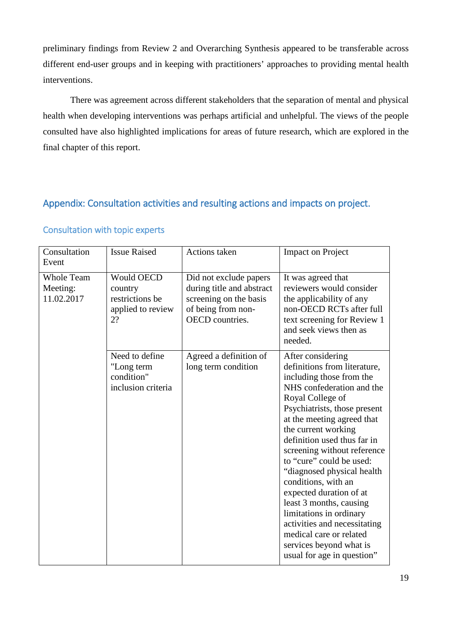preliminary findings from Review 2 and Overarching Synthesis appeared to be transferable across different end-user groups and in keeping with practitioners' approaches to providing mental health interventions.

There was agreement across different stakeholders that the separation of mental and physical health when developing interventions was perhaps artificial and unhelpful. The views of the people consulted have also highlighted implications for areas of future research, which are explored in the final chapter of this report.

## Appendix: Consultation activities and resulting actions and impacts on project.

| Consultation<br>Event                       | <b>Issue Raised</b>                                                        | Actions taken                                                                                                          | <b>Impact on Project</b>                                                                                                                                                                                                                                                                                                                                                                                                                                                                                                                                                |
|---------------------------------------------|----------------------------------------------------------------------------|------------------------------------------------------------------------------------------------------------------------|-------------------------------------------------------------------------------------------------------------------------------------------------------------------------------------------------------------------------------------------------------------------------------------------------------------------------------------------------------------------------------------------------------------------------------------------------------------------------------------------------------------------------------------------------------------------------|
| <b>Whole Team</b><br>Meeting:<br>11.02.2017 | <b>Would OECD</b><br>country<br>restrictions be<br>applied to review<br>2? | Did not exclude papers<br>during title and abstract<br>screening on the basis<br>of being from non-<br>OECD countries. | It was agreed that<br>reviewers would consider<br>the applicability of any<br>non-OECD RCTs after full<br>text screening for Review 1<br>and seek views then as<br>needed.                                                                                                                                                                                                                                                                                                                                                                                              |
|                                             | Need to define<br>"Long term<br>condition"<br>inclusion criteria           | Agreed a definition of<br>long term condition                                                                          | After considering<br>definitions from literature,<br>including those from the<br>NHS confederation and the<br>Royal College of<br>Psychiatrists, those present<br>at the meeting agreed that<br>the current working<br>definition used thus far in<br>screening without reference<br>to "cure" could be used:<br>"diagnosed physical health<br>conditions, with an<br>expected duration of at<br>least 3 months, causing<br>limitations in ordinary<br>activities and necessitating<br>medical care or related<br>services beyond what is<br>usual for age in question" |

## Consultation with topic experts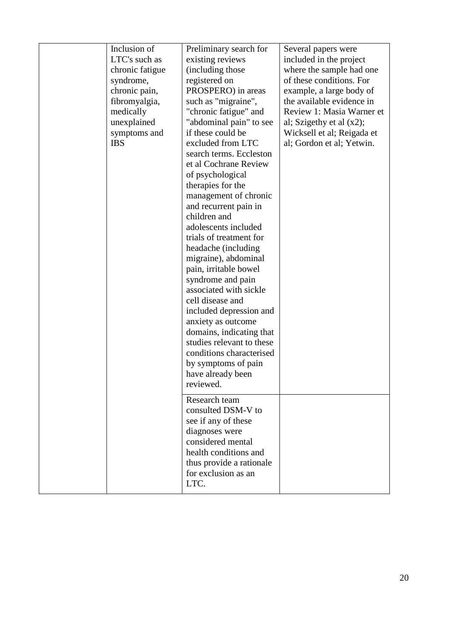| Inclusion of<br>LTC's such as<br>chronic fatigue<br>syndrome,<br>chronic pain,<br>fibromyalgia,<br>medically<br>unexplained<br>symptoms and<br><b>IBS</b> | Preliminary search for<br>existing reviews<br>(including those)<br>registered on<br>PROSPERO) in areas<br>such as "migraine",<br>"chronic fatigue" and<br>"abdominal pain" to see<br>if these could be<br>excluded from LTC<br>search terms. Eccleston<br>et al Cochrane Review<br>of psychological<br>therapies for the<br>management of chronic<br>and recurrent pain in<br>children and<br>adolescents included<br>trials of treatment for<br>headache (including<br>migraine), abdominal<br>pain, irritable bowel<br>syndrome and pain<br>associated with sickle<br>cell disease and<br>included depression and<br>anxiety as outcome<br>domains, indicating that<br>studies relevant to these | Several papers were<br>included in the project<br>where the sample had one<br>of these conditions. For<br>example, a large body of<br>the available evidence in<br>Review 1: Masia Warner et<br>al; Szigethy et al $(x2)$ ;<br>Wicksell et al; Reigada et<br>al; Gordon et al; Yetwin. |
|-----------------------------------------------------------------------------------------------------------------------------------------------------------|----------------------------------------------------------------------------------------------------------------------------------------------------------------------------------------------------------------------------------------------------------------------------------------------------------------------------------------------------------------------------------------------------------------------------------------------------------------------------------------------------------------------------------------------------------------------------------------------------------------------------------------------------------------------------------------------------|----------------------------------------------------------------------------------------------------------------------------------------------------------------------------------------------------------------------------------------------------------------------------------------|
|                                                                                                                                                           | conditions characterised<br>by symptoms of pain<br>have already been<br>reviewed.                                                                                                                                                                                                                                                                                                                                                                                                                                                                                                                                                                                                                  |                                                                                                                                                                                                                                                                                        |
|                                                                                                                                                           | Research team<br>consulted DSM-V to<br>see if any of these<br>diagnoses were<br>considered mental<br>health conditions and<br>thus provide a rationale<br>for exclusion as an<br>LTC.                                                                                                                                                                                                                                                                                                                                                                                                                                                                                                              |                                                                                                                                                                                                                                                                                        |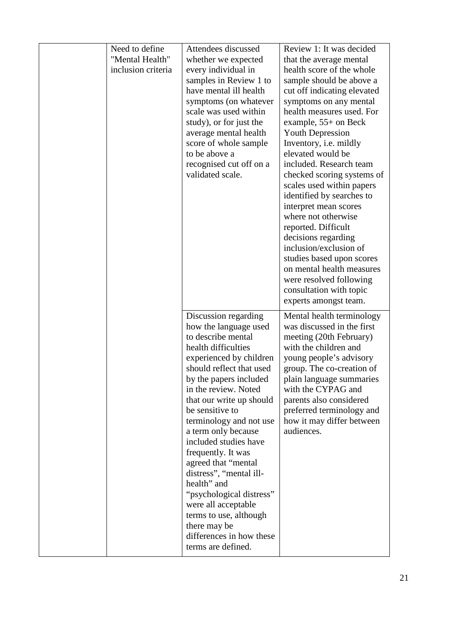| Need to define                        | Attendees discussed                            | Review 1: It was decided                             |
|---------------------------------------|------------------------------------------------|------------------------------------------------------|
| "Mental Health"<br>inclusion criteria | whether we expected<br>every individual in     | that the average mental<br>health score of the whole |
|                                       | samples in Review 1 to                         | sample should be above a                             |
|                                       | have mental ill health                         | cut off indicating elevated                          |
|                                       | symptoms (on whatever                          | symptoms on any mental                               |
|                                       | scale was used within                          | health measures used. For                            |
|                                       | study), or for just the                        | example, $55+$ on Beck                               |
|                                       | average mental health                          | <b>Youth Depression</b>                              |
|                                       | score of whole sample                          | Inventory, <i>i.e.</i> mildly                        |
|                                       | to be above a                                  | elevated would be                                    |
|                                       | recognised cut off on a                        | included. Research team                              |
|                                       | validated scale.                               | checked scoring systems of                           |
|                                       |                                                | scales used within papers                            |
|                                       |                                                | identified by searches to                            |
|                                       |                                                | interpret mean scores                                |
|                                       |                                                | where not otherwise                                  |
|                                       |                                                | reported. Difficult                                  |
|                                       |                                                | decisions regarding                                  |
|                                       |                                                | inclusion/exclusion of                               |
|                                       |                                                | studies based upon scores                            |
|                                       |                                                | on mental health measures                            |
|                                       |                                                | were resolved following                              |
|                                       |                                                | consultation with topic                              |
|                                       |                                                | experts amongst team.                                |
|                                       | Discussion regarding                           | Mental health terminology                            |
|                                       | how the language used                          | was discussed in the first                           |
|                                       | to describe mental                             | meeting (20th February)                              |
|                                       | health difficulties                            | with the children and                                |
|                                       | experienced by children                        | young people's advisory                              |
|                                       | should reflect that used                       | group. The co-creation of                            |
|                                       | by the papers included                         | plain language summaries                             |
|                                       | in the review. Noted                           | with the CYPAG and                                   |
|                                       | that our write up should                       | parents also considered                              |
|                                       | be sensitive to                                | preferred terminology and                            |
|                                       | terminology and not use                        | how it may differ between                            |
|                                       | a term only because                            | audiences.                                           |
|                                       | included studies have                          |                                                      |
|                                       | frequently. It was                             |                                                      |
|                                       | agreed that "mental                            |                                                      |
|                                       | distress", "mental ill-                        |                                                      |
|                                       | health" and                                    |                                                      |
|                                       | "psychological distress"                       |                                                      |
|                                       | were all acceptable                            |                                                      |
|                                       | terms to use, although                         |                                                      |
|                                       | there may be                                   |                                                      |
|                                       | differences in how these<br>terms are defined. |                                                      |
|                                       |                                                |                                                      |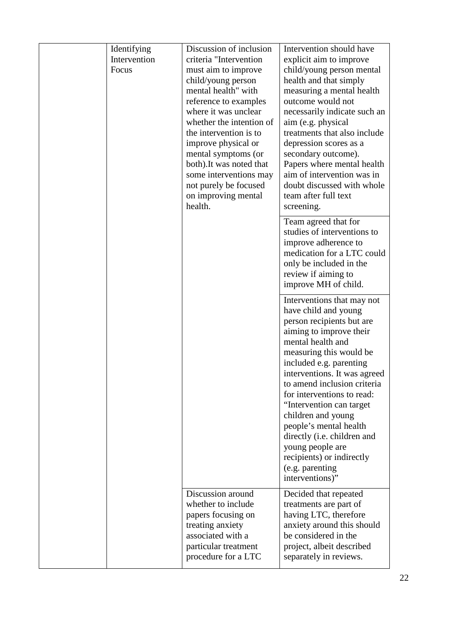| Identifying<br>Intervention<br>Focus | Discussion of inclusion<br>criteria "Intervention<br>must aim to improve<br>child/young person<br>mental health" with<br>reference to examples<br>where it was unclear<br>whether the intention of<br>the intervention is to<br>improve physical or<br>mental symptoms (or<br>both). It was noted that<br>some interventions may<br>not purely be focused<br>on improving mental<br>health. | Intervention should have<br>explicit aim to improve<br>child/young person mental<br>health and that simply<br>measuring a mental health<br>outcome would not<br>necessarily indicate such an<br>aim (e.g. physical<br>treatments that also include<br>depression scores as a<br>secondary outcome).<br>Papers where mental health<br>aim of intervention was in<br>doubt discussed with whole<br>team after full text<br>screening.                                                  |
|--------------------------------------|---------------------------------------------------------------------------------------------------------------------------------------------------------------------------------------------------------------------------------------------------------------------------------------------------------------------------------------------------------------------------------------------|--------------------------------------------------------------------------------------------------------------------------------------------------------------------------------------------------------------------------------------------------------------------------------------------------------------------------------------------------------------------------------------------------------------------------------------------------------------------------------------|
|                                      |                                                                                                                                                                                                                                                                                                                                                                                             | Team agreed that for<br>studies of interventions to<br>improve adherence to<br>medication for a LTC could<br>only be included in the<br>review if aiming to<br>improve MH of child.                                                                                                                                                                                                                                                                                                  |
|                                      |                                                                                                                                                                                                                                                                                                                                                                                             | Interventions that may not<br>have child and young<br>person recipients but are<br>aiming to improve their<br>mental health and<br>measuring this would be<br>included e.g. parenting<br>interventions. It was agreed<br>to amend inclusion criteria<br>for interventions to read:<br>"Intervention can target<br>children and young<br>people's mental health<br>directly (i.e. children and<br>young people are<br>recipients) or indirectly<br>(e.g. parenting<br>interventions)" |
|                                      | Discussion around<br>whether to include<br>papers focusing on<br>treating anxiety<br>associated with a<br>particular treatment<br>procedure for a LTC                                                                                                                                                                                                                                       | Decided that repeated<br>treatments are part of<br>having LTC, therefore<br>anxiety around this should<br>be considered in the<br>project, albeit described<br>separately in reviews.                                                                                                                                                                                                                                                                                                |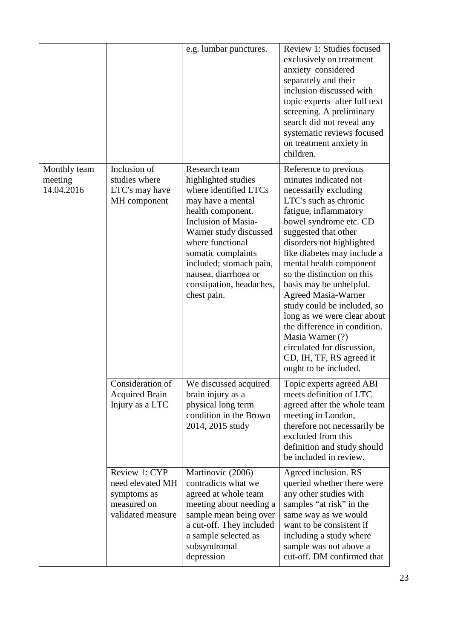|                                       |                                                                                      | e.g. lumbar punctures.                                                                                                                                                                                                                                                                                  | Review 1: Studies focused<br>exclusively on treatment<br>anxiety considered<br>separately and their<br>inclusion discussed with<br>topic experts after full text<br>screening. A preliminary<br>search did not reveal any<br>systematic reviews focused<br>on treatment anxiety in<br>children.                                                                                                                                                                                                                                                                |
|---------------------------------------|--------------------------------------------------------------------------------------|---------------------------------------------------------------------------------------------------------------------------------------------------------------------------------------------------------------------------------------------------------------------------------------------------------|----------------------------------------------------------------------------------------------------------------------------------------------------------------------------------------------------------------------------------------------------------------------------------------------------------------------------------------------------------------------------------------------------------------------------------------------------------------------------------------------------------------------------------------------------------------|
| Monthly team<br>meeting<br>14.04.2016 | Inclusion of<br>studies where<br>LTC's may have<br>MH component                      | Research team<br>highlighted studies<br>where identified LTCs<br>may have a mental<br>health component.<br><b>Inclusion of Masia-</b><br>Warner study discussed<br>where functional<br>somatic complaints<br>included; stomach pain,<br>nausea, diarrhoea or<br>constipation, headaches,<br>chest pain. | Reference to previous<br>minutes indicated not<br>necessarily excluding<br>LTC's such as chronic<br>fatigue, inflammatory<br>bowel syndrome etc. CD<br>suggested that other<br>disorders not highlighted<br>like diabetes may include a<br>mental health component<br>so the distinction on this<br>basis may be unhelpful.<br><b>Agreed Masia-Warner</b><br>study could be included, so<br>long as we were clear about<br>the difference in condition.<br>Masia Warner (?)<br>circulated for discussion,<br>CD, IH, TF, RS agreed it<br>ought to be included. |
|                                       | Consideration of<br><b>Acquired Brain</b><br>Injury as a LTC                         | We discussed acquired<br>brain injury as a<br>physical long term<br>condition in the Brown<br>2014, 2015 study                                                                                                                                                                                          | Topic experts agreed ABI<br>meets definition of LTC<br>agreed after the whole team<br>meeting in London,<br>therefore not necessarily be<br>excluded from this<br>definition and study should<br>be included in review.                                                                                                                                                                                                                                                                                                                                        |
|                                       | Review 1: CYP<br>need elevated MH<br>symptoms as<br>measured on<br>validated measure | Martinovic (2006)<br>contradicts what we<br>agreed at whole team<br>meeting about needing a<br>sample mean being over<br>a cut-off. They included<br>a sample selected as<br>subsyndromal<br>depression                                                                                                 | Agreed inclusion. RS<br>queried whether there were<br>any other studies with<br>samples "at risk" in the<br>same way as we would<br>want to be consistent if<br>including a study where<br>sample was not above a<br>cut-off. DM confirmed that                                                                                                                                                                                                                                                                                                                |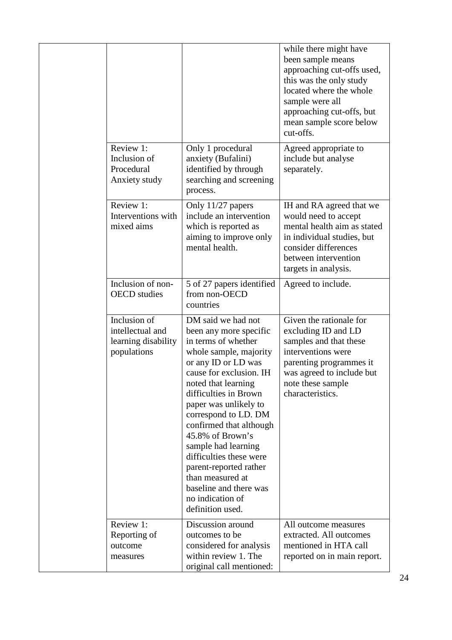|  |                                                                        |                                                                                                                                                                                                                                                                                                                                                                                                                                                                   | while there might have<br>been sample means<br>approaching cut-offs used,<br>this was the only study<br>located where the whole<br>sample were all<br>approaching cut-offs, but<br>mean sample score below<br>cut-offs. |
|--|------------------------------------------------------------------------|-------------------------------------------------------------------------------------------------------------------------------------------------------------------------------------------------------------------------------------------------------------------------------------------------------------------------------------------------------------------------------------------------------------------------------------------------------------------|-------------------------------------------------------------------------------------------------------------------------------------------------------------------------------------------------------------------------|
|  | Review 1:<br>Inclusion of<br>Procedural<br>Anxiety study               | Only 1 procedural<br>anxiety (Bufalini)<br>identified by through<br>searching and screening<br>process.                                                                                                                                                                                                                                                                                                                                                           | Agreed appropriate to<br>include but analyse<br>separately.                                                                                                                                                             |
|  | Review 1:<br>Interventions with<br>mixed aims                          | Only 11/27 papers<br>include an intervention<br>which is reported as<br>aiming to improve only<br>mental health.                                                                                                                                                                                                                                                                                                                                                  | IH and RA agreed that we<br>would need to accept<br>mental health aim as stated<br>in individual studies, but<br>consider differences<br>between intervention<br>targets in analysis.                                   |
|  | Inclusion of non-<br><b>OECD</b> studies                               | 5 of 27 papers identified<br>from non-OECD<br>countries                                                                                                                                                                                                                                                                                                                                                                                                           | Agreed to include.                                                                                                                                                                                                      |
|  | Inclusion of<br>intellectual and<br>learning disability<br>populations | DM said we had not<br>been any more specific<br>in terms of whether<br>whole sample, majority<br>or any ID or LD was<br>cause for exclusion. IH<br>noted that learning<br>difficulties in Brown<br>paper was unlikely to<br>correspond to LD. DM<br>confirmed that although<br>45.8% of Brown's<br>sample had learning<br>difficulties these were<br>parent-reported rather<br>than measured at<br>baseline and there was<br>no indication of<br>definition used. | Given the rationale for<br>excluding ID and LD<br>samples and that these<br>interventions were<br>parenting programmes it<br>was agreed to include but<br>note these sample<br>characteristics.                         |
|  | Review 1:<br>Reporting of<br>outcome<br>measures                       | Discussion around<br>outcomes to be<br>considered for analysis<br>within review 1. The<br>original call mentioned:                                                                                                                                                                                                                                                                                                                                                | All outcome measures<br>extracted. All outcomes<br>mentioned in HTA call<br>reported on in main report.                                                                                                                 |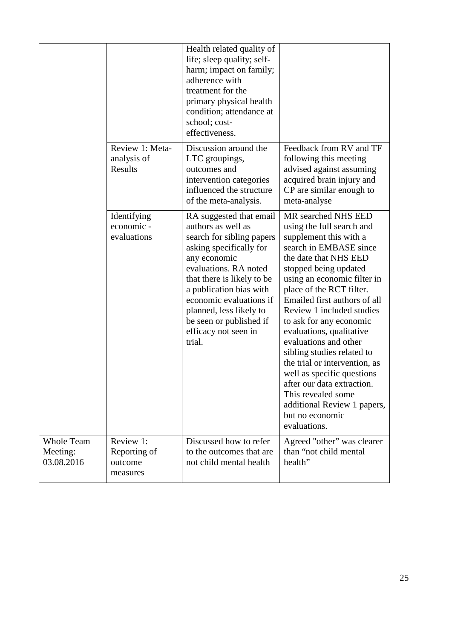|                                             |                                                  | Health related quality of<br>life; sleep quality; self-<br>harm; impact on family;<br>adherence with<br>treatment for the<br>primary physical health<br>condition; attendance at<br>school; cost-<br>effectiveness.                                                                                                        |                                                                                                                                                                                                                                                                                                                                                                                                                                                                                                                                                                                   |
|---------------------------------------------|--------------------------------------------------|----------------------------------------------------------------------------------------------------------------------------------------------------------------------------------------------------------------------------------------------------------------------------------------------------------------------------|-----------------------------------------------------------------------------------------------------------------------------------------------------------------------------------------------------------------------------------------------------------------------------------------------------------------------------------------------------------------------------------------------------------------------------------------------------------------------------------------------------------------------------------------------------------------------------------|
|                                             | Review 1: Meta-<br>analysis of<br>Results        | Discussion around the<br>LTC groupings,<br>outcomes and<br>intervention categories<br>influenced the structure<br>of the meta-analysis.                                                                                                                                                                                    | Feedback from RV and TF<br>following this meeting<br>advised against assuming<br>acquired brain injury and<br>CP are similar enough to<br>meta-analyse                                                                                                                                                                                                                                                                                                                                                                                                                            |
|                                             | Identifying<br>economic -<br>evaluations         | RA suggested that email<br>authors as well as<br>search for sibling papers<br>asking specifically for<br>any economic<br>evaluations. RA noted<br>that there is likely to be<br>a publication bias with<br>economic evaluations if<br>planned, less likely to<br>be seen or published if<br>efficacy not seen in<br>trial. | MR searched NHS EED<br>using the full search and<br>supplement this with a<br>search in EMBASE since<br>the date that NHS EED<br>stopped being updated<br>using an economic filter in<br>place of the RCT filter.<br>Emailed first authors of all<br>Review 1 included studies<br>to ask for any economic<br>evaluations, qualitative<br>evaluations and other<br>sibling studies related to<br>the trial or intervention, as<br>well as specific questions<br>after our data extraction.<br>This revealed some<br>additional Review 1 papers,<br>but no economic<br>evaluations. |
| <b>Whole Team</b><br>Meeting:<br>03.08.2016 | Review 1:<br>Reporting of<br>outcome<br>measures | Discussed how to refer<br>to the outcomes that are<br>not child mental health                                                                                                                                                                                                                                              | Agreed "other" was clearer<br>than "not child mental<br>health"                                                                                                                                                                                                                                                                                                                                                                                                                                                                                                                   |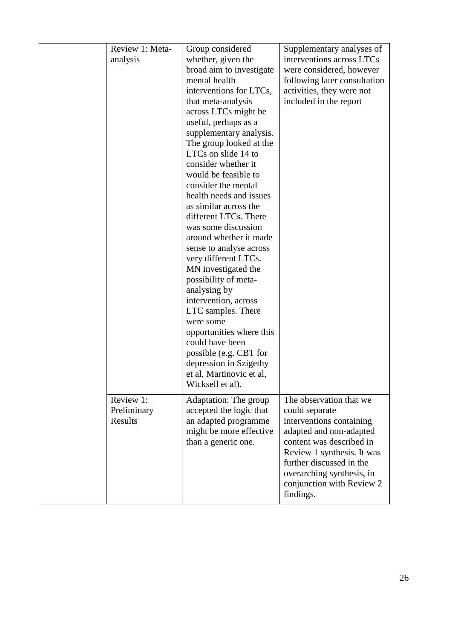| Review 1: Meta- | Group considered                               | Supplementary analyses of    |
|-----------------|------------------------------------------------|------------------------------|
| analysis        | whether, given the                             | interventions across LTCs    |
|                 | broad aim to investigate                       | were considered, however     |
|                 | mental health                                  | following later consultation |
|                 | interventions for LTCs,                        | activities, they were not    |
|                 | that meta-analysis                             | included in the report       |
|                 |                                                |                              |
|                 | across LTCs might be                           |                              |
|                 | useful, perhaps as a                           |                              |
|                 | supplementary analysis.                        |                              |
|                 | The group looked at the<br>LTCs on slide 14 to |                              |
|                 |                                                |                              |
|                 | consider whether it                            |                              |
|                 | would be feasible to                           |                              |
|                 | consider the mental                            |                              |
|                 | health needs and issues                        |                              |
|                 | as similar across the                          |                              |
|                 | different LTCs. There                          |                              |
|                 | was some discussion                            |                              |
|                 | around whether it made                         |                              |
|                 | sense to analyse across                        |                              |
|                 | very different LTCs.                           |                              |
|                 | MN investigated the                            |                              |
|                 | possibility of meta-                           |                              |
|                 | analysing by                                   |                              |
|                 | intervention, across                           |                              |
|                 | LTC samples. There                             |                              |
|                 | were some                                      |                              |
|                 | opportunities where this                       |                              |
|                 | could have been                                |                              |
|                 | possible (e.g. CBT for                         |                              |
|                 | depression in Szigethy                         |                              |
|                 | et al, Martinovic et al,                       |                              |
|                 | Wicksell et al).                               |                              |
| Review 1:       | Adaptation: The group                          | The observation that we      |
| Preliminary     | accepted the logic that                        | could separate               |
| Results         | an adapted programme                           | interventions containing     |
|                 | might be more effective                        | adapted and non-adapted      |
|                 | than a generic one.                            | content was described in     |
|                 |                                                | Review 1 synthesis. It was   |
|                 |                                                | further discussed in the     |
|                 |                                                | overarching synthesis, in    |
|                 |                                                | conjunction with Review 2    |
|                 |                                                | findings.                    |
|                 |                                                |                              |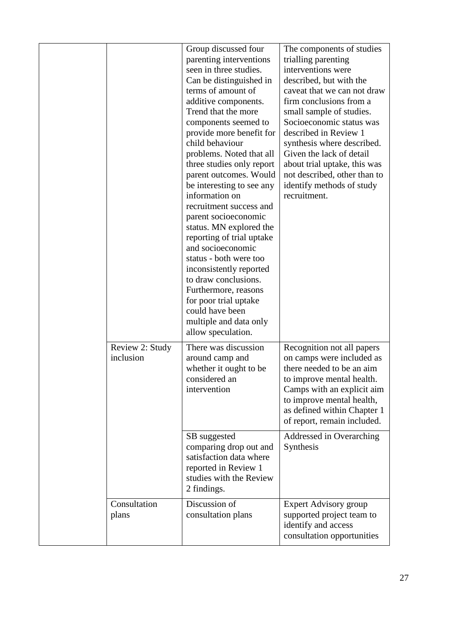|                              | Group discussed four<br>parenting interventions<br>seen in three studies.<br>Can be distinguished in<br>terms of amount of<br>additive components.<br>Trend that the more<br>components seemed to<br>provide more benefit for<br>child behaviour<br>problems. Noted that all<br>three studies only report<br>parent outcomes. Would<br>be interesting to see any<br>information on<br>recruitment success and<br>parent socioeconomic<br>status. MN explored the<br>reporting of trial uptake<br>and socioeconomic<br>status - both were too<br>inconsistently reported<br>to draw conclusions.<br>Furthermore, reasons<br>for poor trial uptake<br>could have been<br>multiple and data only<br>allow speculation. | The components of studies<br>trialling parenting<br>interventions were<br>described, but with the<br>caveat that we can not draw<br>firm conclusions from a<br>small sample of studies.<br>Socioeconomic status was<br>described in Review 1<br>synthesis where described.<br>Given the lack of detail<br>about trial uptake, this was<br>not described, other than to<br>identify methods of study<br>recruitment. |
|------------------------------|---------------------------------------------------------------------------------------------------------------------------------------------------------------------------------------------------------------------------------------------------------------------------------------------------------------------------------------------------------------------------------------------------------------------------------------------------------------------------------------------------------------------------------------------------------------------------------------------------------------------------------------------------------------------------------------------------------------------|---------------------------------------------------------------------------------------------------------------------------------------------------------------------------------------------------------------------------------------------------------------------------------------------------------------------------------------------------------------------------------------------------------------------|
| Review 2: Study<br>inclusion | There was discussion<br>around camp and<br>whether it ought to be<br>considered an<br>intervention                                                                                                                                                                                                                                                                                                                                                                                                                                                                                                                                                                                                                  | Recognition not all papers<br>on camps were included as<br>there needed to be an aim<br>to improve mental health.<br>Camps with an explicit aim<br>to improve mental health,<br>as defined within Chapter 1<br>of report, remain included.                                                                                                                                                                          |
|                              | SB suggested<br>comparing drop out and<br>satisfaction data where<br>reported in Review 1<br>studies with the Review<br>2 findings.                                                                                                                                                                                                                                                                                                                                                                                                                                                                                                                                                                                 | Addressed in Overarching<br>Synthesis                                                                                                                                                                                                                                                                                                                                                                               |
| Consultation<br>plans        | Discussion of<br>consultation plans                                                                                                                                                                                                                                                                                                                                                                                                                                                                                                                                                                                                                                                                                 | <b>Expert Advisory group</b><br>supported project team to<br>identify and access<br>consultation opportunities                                                                                                                                                                                                                                                                                                      |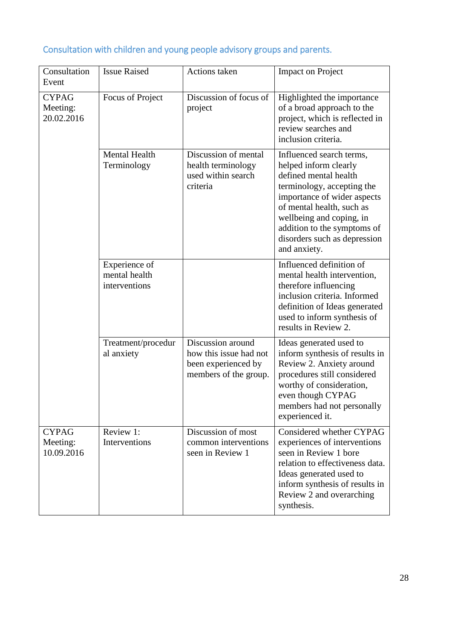| Consultation<br>Event                  | <b>Issue Raised</b>                             | Actions taken                                                                               | <b>Impact on Project</b>                                                                                                                                                                                                                                                        |
|----------------------------------------|-------------------------------------------------|---------------------------------------------------------------------------------------------|---------------------------------------------------------------------------------------------------------------------------------------------------------------------------------------------------------------------------------------------------------------------------------|
| <b>CYPAG</b><br>Meeting:<br>20.02.2016 | Focus of Project                                | Discussion of focus of<br>project                                                           | Highlighted the importance<br>of a broad approach to the<br>project, which is reflected in<br>review searches and<br>inclusion criteria.                                                                                                                                        |
|                                        | <b>Mental Health</b><br>Terminology             | Discussion of mental<br>health terminology<br>used within search<br>criteria                | Influenced search terms,<br>helped inform clearly<br>defined mental health<br>terminology, accepting the<br>importance of wider aspects<br>of mental health, such as<br>wellbeing and coping, in<br>addition to the symptoms of<br>disorders such as depression<br>and anxiety. |
|                                        | Experience of<br>mental health<br>interventions |                                                                                             | Influenced definition of<br>mental health intervention,<br>therefore influencing<br>inclusion criteria. Informed<br>definition of Ideas generated<br>used to inform synthesis of<br>results in Review 2.                                                                        |
|                                        | Treatment/procedur<br>al anxiety                | Discussion around<br>how this issue had not<br>been experienced by<br>members of the group. | Ideas generated used to<br>inform synthesis of results in<br>Review 2. Anxiety around<br>procedures still considered<br>worthy of consideration,<br>even though CYPAG<br>members had not personally<br>experienced it.                                                          |
| <b>CYPAG</b><br>Meeting:<br>10.09.2016 | Review 1:<br>Interventions                      | Discussion of most<br>common interventions<br>seen in Review 1                              | Considered whether CYPAG<br>experiences of interventions<br>seen in Review 1 bore<br>relation to effectiveness data.<br>Ideas generated used to<br>inform synthesis of results in<br>Review 2 and overarching<br>synthesis.                                                     |

# Consultation with children and young people advisory groups and parents.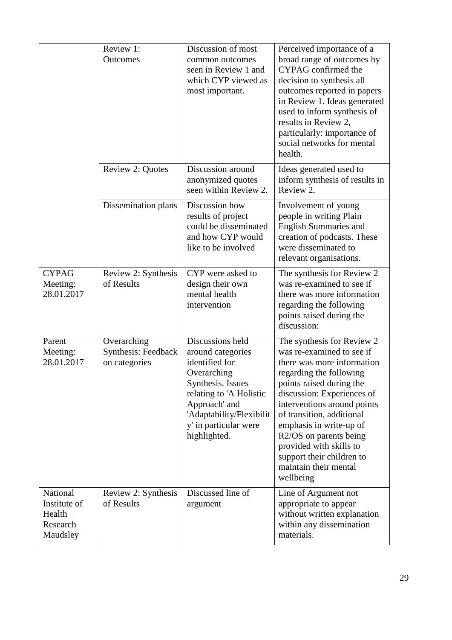|                                                            | Review 1:<br>Outcomes                                      | Discussion of most<br>common outcomes<br>seen in Review 1 and<br>which CYP viewed as<br>most important.                                                                                                      | Perceived importance of a<br>broad range of outcomes by<br>CYPAG confirmed the<br>decision to synthesis all<br>outcomes reported in papers<br>in Review 1. Ideas generated<br>used to inform synthesis of<br>results in Review 2,<br>particularly: importance of<br>social networks for mental<br>health.                                                                                 |
|------------------------------------------------------------|------------------------------------------------------------|--------------------------------------------------------------------------------------------------------------------------------------------------------------------------------------------------------------|-------------------------------------------------------------------------------------------------------------------------------------------------------------------------------------------------------------------------------------------------------------------------------------------------------------------------------------------------------------------------------------------|
|                                                            | Review 2: Quotes                                           | Discussion around<br>anonymized quotes<br>seen within Review 2.                                                                                                                                              | Ideas generated used to<br>inform synthesis of results in<br>Review 2.                                                                                                                                                                                                                                                                                                                    |
|                                                            | Dissemination plans                                        | Discussion how<br>results of project<br>could be disseminated<br>and how CYP would<br>like to be involved                                                                                                    | Involvement of young<br>people in writing Plain<br><b>English Summaries and</b><br>creation of podcasts. These<br>were disseminated to<br>relevant organisations.                                                                                                                                                                                                                         |
| <b>CYPAG</b><br>Meeting:<br>28.01.2017                     | Review 2: Synthesis<br>of Results                          | CYP were asked to<br>design their own<br>mental health<br>intervention                                                                                                                                       | The synthesis for Review 2<br>was re-examined to see if<br>there was more information<br>regarding the following<br>points raised during the<br>discussion:                                                                                                                                                                                                                               |
| Parent<br>Meeting:<br>28.01.2017                           | Overarching<br><b>Synthesis: Feedback</b><br>on categories | Discussions held<br>around categories<br>identified for<br>Overarching<br>Synthesis. Issues<br>relating to 'A Holistic<br>Approach' and<br>'Adaptability/Flexibilit<br>y' in particular were<br>highlighted. | The synthesis for Review 2<br>was re-examined to see if<br>there was more information<br>regarding the following<br>points raised during the<br>discussion: Experiences of<br>interventions around points<br>of transition, additional<br>emphasis in write-up of<br>R2/OS on parents being<br>provided with skills to<br>support their children to<br>maintain their mental<br>wellbeing |
| National<br>Institute of<br>Health<br>Research<br>Maudsley | Review 2: Synthesis<br>of Results                          | Discussed line of<br>argument                                                                                                                                                                                | Line of Argument not<br>appropriate to appear<br>without written explanation<br>within any dissemination<br>materials.                                                                                                                                                                                                                                                                    |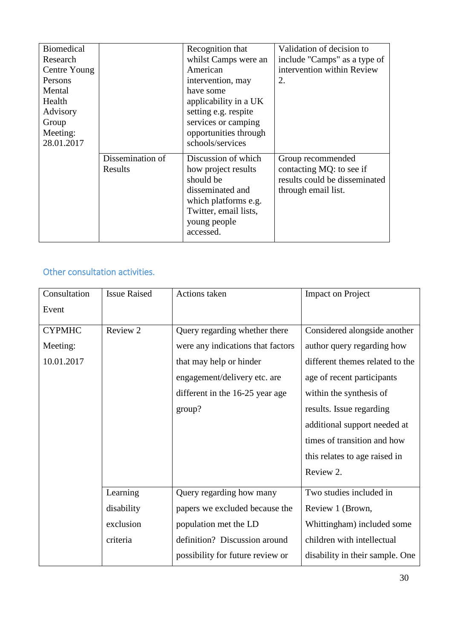| <b>Biomedical</b> |                  | Recognition that      | Validation of decision to     |
|-------------------|------------------|-----------------------|-------------------------------|
| Research          |                  | whilst Camps were an  | include "Camps" as a type of  |
| Centre Young      |                  | American              | intervention within Review    |
| Persons           |                  | intervention, may     | 2.                            |
| Mental            |                  | have some             |                               |
| Health            |                  | applicability in a UK |                               |
| Advisory          |                  | setting e.g. respite  |                               |
| Group             |                  | services or camping   |                               |
| Meeting:          |                  | opportunities through |                               |
| 28.01.2017        |                  | schools/services      |                               |
|                   | Dissemination of | Discussion of which   | Group recommended             |
|                   | Results          | how project results   | contacting MQ: to see if      |
|                   |                  | should be             | results could be disseminated |
|                   |                  | disseminated and      | through email list.           |
|                   |                  | which platforms e.g.  |                               |
|                   |                  | Twitter, email lists, |                               |
|                   |                  | young people          |                               |
|                   |                  | accessed.             |                               |
|                   |                  |                       |                               |

# Other consultation activities.

| Consultation  | <b>Issue Raised</b> | Actions taken                     | <b>Impact on Project</b>        |
|---------------|---------------------|-----------------------------------|---------------------------------|
| Event         |                     |                                   |                                 |
| <b>CYPMHC</b> | Review 2            | Query regarding whether there     | Considered alongside another    |
| Meeting:      |                     | were any indications that factors | author query regarding how      |
| 10.01.2017    |                     | that may help or hinder           | different themes related to the |
|               |                     | engagement/delivery etc. are      | age of recent participants      |
|               |                     | different in the 16-25 year age   | within the synthesis of         |
|               |                     | group?                            | results. Issue regarding        |
|               |                     |                                   | additional support needed at    |
|               |                     |                                   | times of transition and how     |
|               |                     |                                   | this relates to age raised in   |
|               |                     |                                   | Review 2.                       |
|               | Learning            | Query regarding how many          | Two studies included in         |
|               | disability          | papers we excluded because the    | Review 1 (Brown,                |
|               | exclusion           | population met the LD             | Whittingham) included some      |
|               | criteria            | definition? Discussion around     | children with intellectual      |
|               |                     | possibility for future review or  | disability in their sample. One |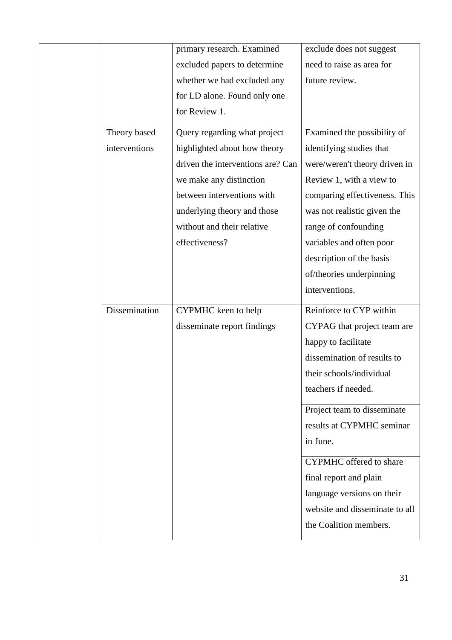|               | primary research. Examined        | exclude does not suggest       |
|---------------|-----------------------------------|--------------------------------|
|               | excluded papers to determine      | need to raise as area for      |
|               | whether we had excluded any       | future review.                 |
|               | for LD alone. Found only one      |                                |
|               | for Review 1.                     |                                |
| Theory based  | Query regarding what project      | Examined the possibility of    |
| interventions | highlighted about how theory      | identifying studies that       |
|               | driven the interventions are? Can | were/weren't theory driven in  |
|               | we make any distinction           | Review 1, with a view to       |
|               | between interventions with        | comparing effectiveness. This  |
|               | underlying theory and those       | was not realistic given the    |
|               | without and their relative        | range of confounding           |
|               | effectiveness?                    | variables and often poor       |
|               |                                   | description of the basis       |
|               |                                   | of/theories underpinning       |
|               |                                   | interventions.                 |
| Dissemination | CYPMHC keen to help               | Reinforce to CYP within        |
|               | disseminate report findings       | CYPAG that project team are    |
|               |                                   | happy to facilitate            |
|               |                                   | dissemination of results to    |
|               |                                   | their schools/individual       |
|               |                                   | teachers if needed.            |
|               |                                   | Project team to disseminate    |
|               |                                   | results at CYPMHC seminar      |
|               |                                   | in June.                       |
|               |                                   | <b>CYPMHC</b> offered to share |
|               |                                   | final report and plain         |
|               |                                   | language versions on their     |
|               |                                   | website and disseminate to all |
|               |                                   | the Coalition members.         |
|               |                                   |                                |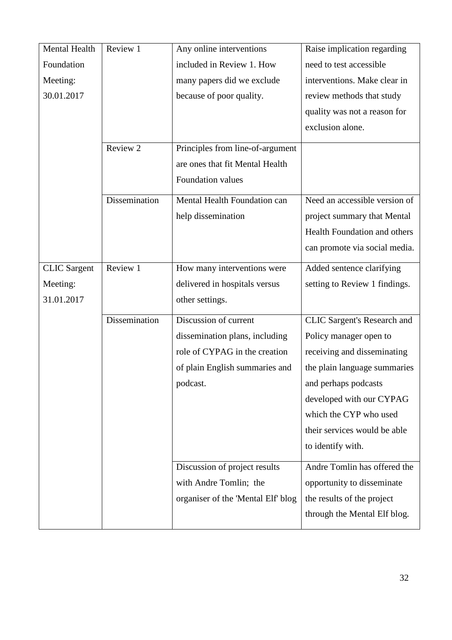| Mental Health       | Review 1      | Any online interventions           | Raise implication regarding        |
|---------------------|---------------|------------------------------------|------------------------------------|
| Foundation          |               | included in Review 1. How          | need to test accessible            |
| Meeting:            |               | many papers did we exclude         | interventions. Make clear in       |
| 30.01.2017          |               | because of poor quality.           | review methods that study          |
|                     |               |                                    | quality was not a reason for       |
|                     |               |                                    | exclusion alone.                   |
|                     | Review 2      | Principles from line-of-argument   |                                    |
|                     |               | are ones that fit Mental Health    |                                    |
|                     |               | Foundation values                  |                                    |
|                     | Dissemination | Mental Health Foundation can       | Need an accessible version of      |
|                     |               | help dissemination                 | project summary that Mental        |
|                     |               |                                    | Health Foundation and others       |
|                     |               |                                    | can promote via social media.      |
| <b>CLIC</b> Sargent | Review 1      | How many interventions were        | Added sentence clarifying          |
| Meeting:            |               | delivered in hospitals versus      | setting to Review 1 findings.      |
| 31.01.2017          |               | other settings.                    |                                    |
|                     | Dissemination | Discussion of current              | <b>CLIC Sargent's Research and</b> |
|                     |               | dissemination plans, including     | Policy manager open to             |
|                     |               | role of CYPAG in the creation      | receiving and disseminating        |
|                     |               | of plain English summaries and     | the plain language summaries       |
|                     |               | podcast.                           | and perhaps podcasts               |
|                     |               |                                    | developed with our CYPAG           |
|                     |               |                                    | which the CYP who used             |
|                     |               |                                    | their services would be able       |
|                     |               |                                    | to identify with.                  |
|                     |               | Discussion of project results      | Andre Tomlin has offered the       |
|                     |               | with Andre Tomlin; the             | opportunity to disseminate         |
|                     |               | organiser of the 'Mental Elf' blog | the results of the project         |
|                     |               |                                    | through the Mental Elf blog.       |
|                     |               |                                    |                                    |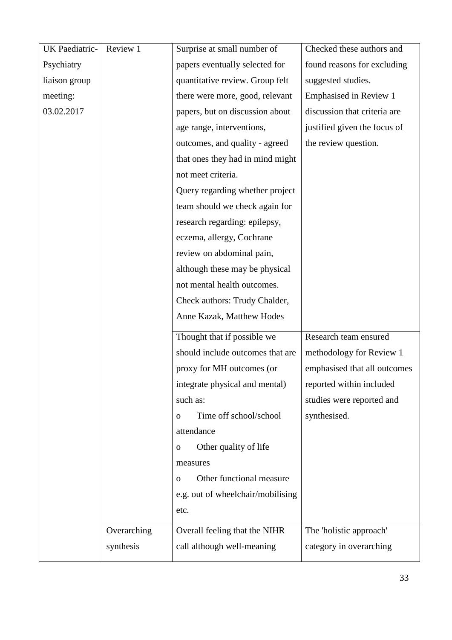| UK Paediatric- | Review 1    | Surprise at small number of           | Checked these authors and     |
|----------------|-------------|---------------------------------------|-------------------------------|
| Psychiatry     |             | papers eventually selected for        | found reasons for excluding   |
| liaison group  |             | quantitative review. Group felt       | suggested studies.            |
| meeting:       |             | there were more, good, relevant       | <b>Emphasised in Review 1</b> |
| 03.02.2017     |             | papers, but on discussion about       | discussion that criteria are  |
|                |             | age range, interventions,             | justified given the focus of  |
|                |             | outcomes, and quality - agreed        | the review question.          |
|                |             | that ones they had in mind might      |                               |
|                |             | not meet criteria.                    |                               |
|                |             | Query regarding whether project       |                               |
|                |             | team should we check again for        |                               |
|                |             | research regarding: epilepsy,         |                               |
|                |             | eczema, allergy, Cochrane             |                               |
|                |             | review on abdominal pain,             |                               |
|                |             | although these may be physical        |                               |
|                |             | not mental health outcomes.           |                               |
|                |             | Check authors: Trudy Chalder,         |                               |
|                |             | Anne Kazak, Matthew Hodes             |                               |
|                |             | Thought that if possible we           | Research team ensured         |
|                |             | should include outcomes that are      | methodology for Review 1      |
|                |             | proxy for MH outcomes (or             | emphasised that all outcomes  |
|                |             | integrate physical and mental)        | reported within included      |
|                |             | such as:                              | studies were reported and     |
|                |             | Time off school/school<br>$\mathbf 0$ | synthesised.                  |
|                |             | attendance                            |                               |
|                |             | Other quality of life<br>$\mathbf 0$  |                               |
|                |             | measures                              |                               |
|                |             | Other functional measure<br>$\Omega$  |                               |
|                |             | e.g. out of wheelchair/mobilising     |                               |
|                |             | etc.                                  |                               |
|                |             |                                       |                               |
|                | Overarching | Overall feeling that the NIHR         | The 'holistic approach'       |
|                | synthesis   | call although well-meaning            | category in overarching       |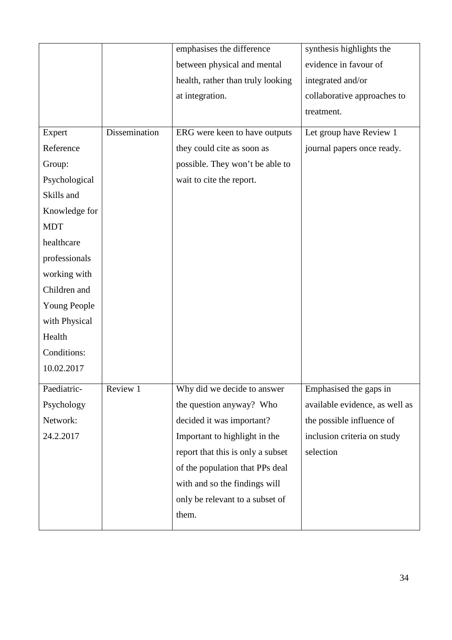|               |               | emphasises the difference         | synthesis highlights the       |
|---------------|---------------|-----------------------------------|--------------------------------|
|               |               | between physical and mental       | evidence in favour of          |
|               |               | health, rather than truly looking | integrated and/or              |
|               |               | at integration.                   | collaborative approaches to    |
|               |               |                                   | treatment.                     |
| Expert        | Dissemination | ERG were keen to have outputs     | Let group have Review 1        |
| Reference     |               | they could cite as soon as        | journal papers once ready.     |
| Group:        |               | possible. They won't be able to   |                                |
| Psychological |               | wait to cite the report.          |                                |
| Skills and    |               |                                   |                                |
| Knowledge for |               |                                   |                                |
| <b>MDT</b>    |               |                                   |                                |
| healthcare    |               |                                   |                                |
| professionals |               |                                   |                                |
| working with  |               |                                   |                                |
| Children and  |               |                                   |                                |
| Young People  |               |                                   |                                |
| with Physical |               |                                   |                                |
| Health        |               |                                   |                                |
| Conditions:   |               |                                   |                                |
| 10.02.2017    |               |                                   |                                |
| Paediatric-   | Review 1      | Why did we decide to answer       | Emphasised the gaps in         |
| Psychology    |               | the question anyway? Who          | available evidence, as well as |
| Network:      |               | decided it was important?         | the possible influence of      |
| 24.2.2017     |               | Important to highlight in the     | inclusion criteria on study    |
|               |               | report that this is only a subset | selection                      |
|               |               | of the population that PPs deal   |                                |
|               |               | with and so the findings will     |                                |
|               |               | only be relevant to a subset of   |                                |
|               |               | them.                             |                                |
|               |               |                                   |                                |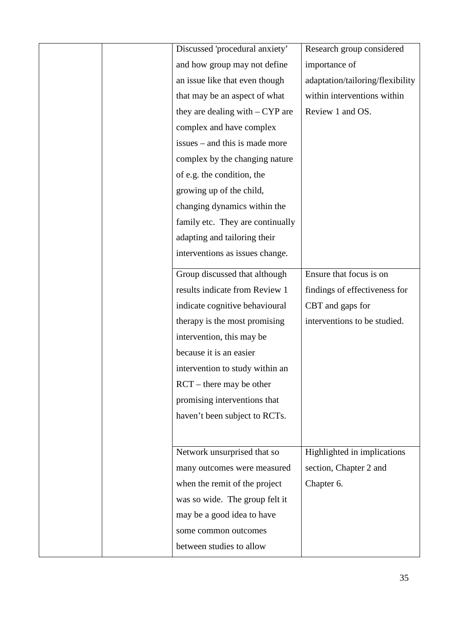|  | Discussed 'procedural anxiety'    | Research group considered        |
|--|-----------------------------------|----------------------------------|
|  |                                   |                                  |
|  | and how group may not define      | importance of                    |
|  | an issue like that even though    | adaptation/tailoring/flexibility |
|  | that may be an aspect of what     | within interventions within      |
|  | they are dealing with $-$ CYP are | Review 1 and OS.                 |
|  | complex and have complex          |                                  |
|  | issues – and this is made more    |                                  |
|  | complex by the changing nature    |                                  |
|  | of e.g. the condition, the        |                                  |
|  | growing up of the child,          |                                  |
|  | changing dynamics within the      |                                  |
|  | family etc. They are continually  |                                  |
|  | adapting and tailoring their      |                                  |
|  | interventions as issues change.   |                                  |
|  | Group discussed that although     | Ensure that focus is on          |
|  | results indicate from Review 1    | findings of effectiveness for    |
|  | indicate cognitive behavioural    | CBT and gaps for                 |
|  | therapy is the most promising     | interventions to be studied.     |
|  | intervention, this may be         |                                  |
|  | because it is an easier           |                                  |
|  | intervention to study within an   |                                  |
|  | $RCT$ – there may be other        |                                  |
|  | promising interventions that      |                                  |
|  | haven't been subject to RCTs.     |                                  |
|  |                                   |                                  |
|  | Network unsurprised that so       | Highlighted in implications      |
|  | many outcomes were measured       | section, Chapter 2 and           |
|  | when the remit of the project     | Chapter 6.                       |
|  | was so wide. The group felt it    |                                  |
|  | may be a good idea to have        |                                  |
|  | some common outcomes              |                                  |
|  | between studies to allow          |                                  |
|  |                                   |                                  |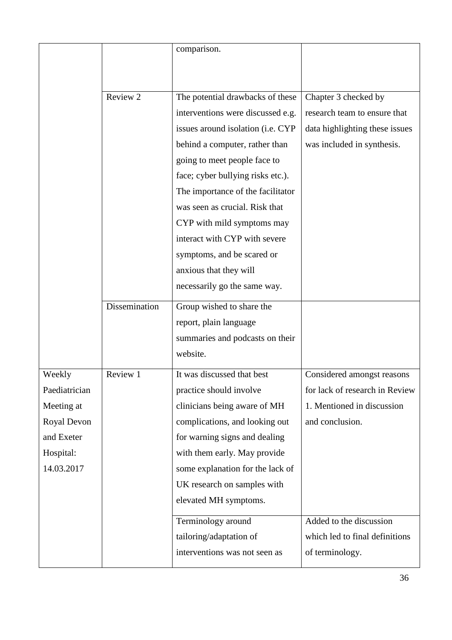|               |               | comparison.                       |                                |
|---------------|---------------|-----------------------------------|--------------------------------|
|               |               |                                   |                                |
|               | Review 2      | The potential drawbacks of these  | Chapter 3 checked by           |
|               |               | interventions were discussed e.g. | research team to ensure that   |
|               |               | issues around isolation (i.e. CYP | data highlighting these issues |
|               |               | behind a computer, rather than    | was included in synthesis.     |
|               |               | going to meet people face to      |                                |
|               |               | face; cyber bullying risks etc.). |                                |
|               |               | The importance of the facilitator |                                |
|               |               | was seen as crucial. Risk that    |                                |
|               |               | CYP with mild symptoms may        |                                |
|               |               | interact with CYP with severe     |                                |
|               |               | symptoms, and be scared or        |                                |
|               |               | anxious that they will            |                                |
|               |               | necessarily go the same way.      |                                |
|               | Dissemination | Group wished to share the         |                                |
|               |               | report, plain language            |                                |
|               |               | summaries and podcasts on their   |                                |
|               |               | website.                          |                                |
| Weekly        | Review 1      | It was discussed that best        | Considered amongst reasons     |
| Paediatrician |               | practice should involve           | for lack of research in Review |
| Meeting at    |               | clinicians being aware of MH      | 1. Mentioned in discussion     |
| Royal Devon   |               | complications, and looking out    | and conclusion.                |
| and Exeter    |               | for warning signs and dealing     |                                |
| Hospital:     |               | with them early. May provide      |                                |
| 14.03.2017    |               | some explanation for the lack of  |                                |
|               |               | UK research on samples with       |                                |
|               |               | elevated MH symptoms.             |                                |
|               |               | Terminology around                | Added to the discussion        |
|               |               |                                   |                                |
|               |               | tailoring/adaptation of           | which led to final definitions |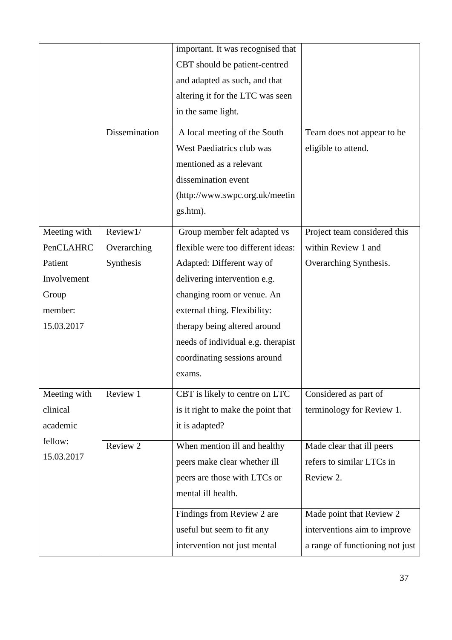|              |               | important. It was recognised that<br>CBT should be patient-centred<br>and adapted as such, and that<br>altering it for the LTC was seen                                         |                                                   |
|--------------|---------------|---------------------------------------------------------------------------------------------------------------------------------------------------------------------------------|---------------------------------------------------|
|              | Dissemination | in the same light.<br>A local meeting of the South<br>West Paediatrics club was<br>mentioned as a relevant<br>dissemination event<br>(http://www.swpc.org.uk/meetin<br>gs.htm). | Team does not appear to be<br>eligible to attend. |
| Meeting with | Review1/      | Group member felt adapted vs                                                                                                                                                    | Project team considered this                      |
| PenCLAHRC    | Overarching   | flexible were too different ideas:                                                                                                                                              | within Review 1 and                               |
| Patient      | Synthesis     | Adapted: Different way of                                                                                                                                                       | Overarching Synthesis.                            |
| Involvement  |               | delivering intervention e.g.                                                                                                                                                    |                                                   |
| Group        |               | changing room or venue. An                                                                                                                                                      |                                                   |
| member:      |               | external thing. Flexibility:                                                                                                                                                    |                                                   |
| 15.03.2017   |               | therapy being altered around                                                                                                                                                    |                                                   |
|              |               | needs of individual e.g. therapist                                                                                                                                              |                                                   |
|              |               | coordinating sessions around                                                                                                                                                    |                                                   |
|              |               | exams.                                                                                                                                                                          |                                                   |
| Meeting with | Review 1      | CBT is likely to centre on LTC                                                                                                                                                  | Considered as part of                             |
| clinical     |               | is it right to make the point that                                                                                                                                              | terminology for Review 1.                         |
| academic     |               | it is adapted?                                                                                                                                                                  |                                                   |
| fellow:      | Review 2      | When mention ill and healthy                                                                                                                                                    | Made clear that ill peers                         |
| 15.03.2017   |               | peers make clear whether ill                                                                                                                                                    | refers to similar LTCs in                         |
|              |               | peers are those with LTCs or                                                                                                                                                    | Review 2.                                         |
|              |               | mental ill health.                                                                                                                                                              |                                                   |
|              |               | Findings from Review 2 are                                                                                                                                                      | Made point that Review 2                          |
|              |               | useful but seem to fit any                                                                                                                                                      | interventions aim to improve                      |
|              |               | intervention not just mental                                                                                                                                                    | a range of functioning not just                   |